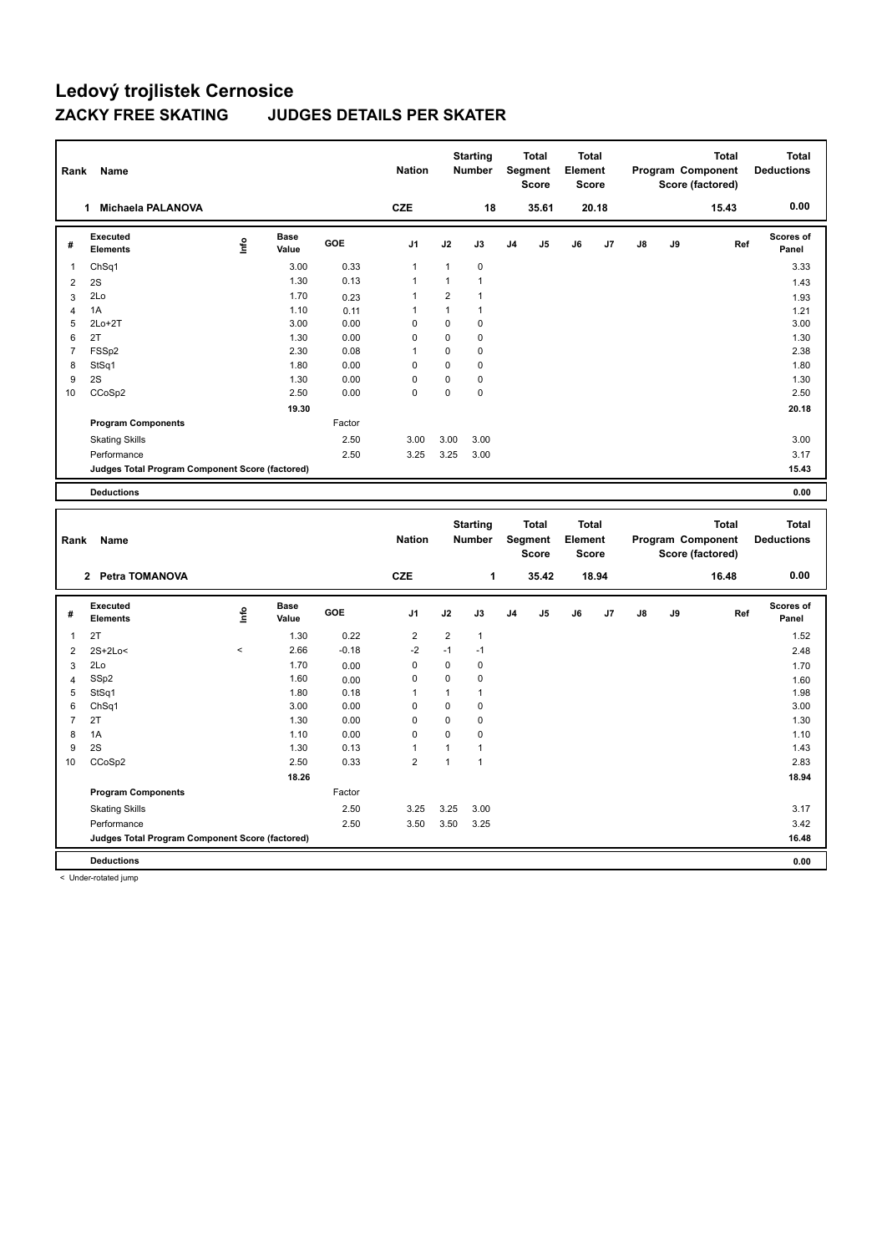| Rank           | Name<br>Michaela PALANOVA<br>1                  |                                  |                      |            | <b>Nation</b>            |                | <b>Starting</b><br><b>Number</b> |                | <b>Total</b><br>Segment<br><b>Score</b> | Total<br>Element<br><b>Score</b> |                |    |    | <b>Total</b><br>Program Component<br>Score (factored) | <b>Total</b><br><b>Deductions</b> |
|----------------|-------------------------------------------------|----------------------------------|----------------------|------------|--------------------------|----------------|----------------------------------|----------------|-----------------------------------------|----------------------------------|----------------|----|----|-------------------------------------------------------|-----------------------------------|
|                |                                                 |                                  |                      |            | <b>CZE</b>               |                | 18                               |                | 35.61                                   |                                  | 20.18          |    |    | 15.43                                                 | 0.00                              |
| #              | Executed<br><b>Elements</b>                     | $\mathop{\mathsf{Int}}\nolimits$ | <b>Base</b><br>Value | <b>GOE</b> | J <sub>1</sub>           | J2             | J3                               | J <sub>4</sub> | J <sub>5</sub>                          | J6                               | J <sub>7</sub> | J8 | J9 | Ref                                                   | <b>Scores of</b><br>Panel         |
| 1              | ChSq1                                           |                                  | 3.00                 | 0.33       | $\overline{1}$           | 1              | $\mathbf 0$                      |                |                                         |                                  |                |    |    |                                                       | 3.33                              |
| 2              | 2S                                              |                                  | 1.30                 | 0.13       | $\overline{1}$           |                | $\mathbf{1}$                     |                |                                         |                                  |                |    |    |                                                       | 1.43                              |
| 3              | 2Lo                                             |                                  | 1.70                 | 0.23       | $\overline{\phantom{a}}$ | $\overline{2}$ | $\mathbf 1$                      |                |                                         |                                  |                |    |    |                                                       | 1.93                              |
| $\overline{4}$ | 1A                                              |                                  | 1.10                 | 0.11       | -1                       | 1              | $\mathbf{1}$                     |                |                                         |                                  |                |    |    |                                                       | 1.21                              |
| 5              | $2Lo+2T$                                        |                                  | 3.00                 | 0.00       | 0                        | $\mathbf 0$    | $\mathbf 0$                      |                |                                         |                                  |                |    |    |                                                       | 3.00                              |
| 6              | 2T                                              |                                  | 1.30                 | 0.00       | 0                        | $\mathbf 0$    | 0                                |                |                                         |                                  |                |    |    |                                                       | 1.30                              |
| $\overline{7}$ | FSSp2                                           |                                  | 2.30                 | 0.08       | 1                        | $\mathbf 0$    | 0                                |                |                                         |                                  |                |    |    |                                                       | 2.38                              |
| 8              | StSq1                                           |                                  | 1.80                 | 0.00       | $\Omega$                 | $\Omega$       | $\Omega$                         |                |                                         |                                  |                |    |    |                                                       | 1.80                              |
| 9              | 2S                                              |                                  | 1.30                 | 0.00       | $\Omega$                 | $\Omega$       | 0                                |                |                                         |                                  |                |    |    |                                                       | 1.30                              |
| 10             | CCoSp2                                          |                                  | 2.50                 | 0.00       | 0                        | 0              | $\mathbf 0$                      |                |                                         |                                  |                |    |    |                                                       | 2.50                              |
|                |                                                 |                                  | 19.30                |            |                          |                |                                  |                |                                         |                                  |                |    |    |                                                       | 20.18                             |
|                | <b>Program Components</b>                       |                                  |                      | Factor     |                          |                |                                  |                |                                         |                                  |                |    |    |                                                       |                                   |
|                | <b>Skating Skills</b>                           |                                  |                      | 2.50       | 3.00                     | 3.00           | 3.00                             |                |                                         |                                  |                |    |    |                                                       | 3.00                              |
|                | Performance                                     |                                  |                      | 2.50       | 3.25                     | 3.25           | 3.00                             |                |                                         |                                  |                |    |    |                                                       | 3.17                              |
|                | Judges Total Program Component Score (factored) |                                  |                      |            |                          |                |                                  |                |                                         |                                  |                |    |    |                                                       | 15.43                             |
|                | <b>Deductions</b>                               |                                  |                      |            |                          |                |                                  |                |                                         |                                  |                |    |    |                                                       | 0.00                              |
|                |                                                 |                                  |                      |            |                          |                |                                  |                |                                         |                                  |                |    |    |                                                       |                                   |

| Rank           | Name                                            |          |                      |         | <b>Nation</b>  |                | <b>Starting</b><br><b>Number</b> |                | <b>Total</b><br>Segment<br><b>Score</b> | <b>Total</b><br>Element<br><b>Score</b> |       |               |    | <b>Total</b><br>Program Component<br>Score (factored) | <b>Total</b><br><b>Deductions</b> |
|----------------|-------------------------------------------------|----------|----------------------|---------|----------------|----------------|----------------------------------|----------------|-----------------------------------------|-----------------------------------------|-------|---------------|----|-------------------------------------------------------|-----------------------------------|
|                | 2 Petra TOMANOVA                                |          |                      |         | <b>CZE</b>     |                | 1                                |                | 35.42                                   |                                         | 18.94 |               |    | 16.48                                                 | 0.00                              |
| #              | Executed<br><b>Elements</b>                     | ١nfo     | <b>Base</b><br>Value | GOE     | J1             | J2             | J3                               | J <sub>4</sub> | J5                                      | J6                                      | J7    | $\mathsf{J}8$ | J9 | Ref                                                   | Scores of<br>Panel                |
| 1              | 2T                                              |          | 1.30                 | 0.22    | $\overline{2}$ | $\overline{2}$ | $\overline{1}$                   |                |                                         |                                         |       |               |    |                                                       | 1.52                              |
| 2              | $2S+2Lo<$                                       | $\hat{}$ | 2.66                 | $-0.18$ | $-2$           | $-1$           | $-1$                             |                |                                         |                                         |       |               |    |                                                       | 2.48                              |
| 3              | 2Lo                                             |          | 1.70                 | 0.00    | 0              | 0              | 0                                |                |                                         |                                         |       |               |    |                                                       | 1.70                              |
| $\overline{4}$ | SSp2                                            |          | 1.60                 | 0.00    | 0              | 0              | 0                                |                |                                         |                                         |       |               |    |                                                       | 1.60                              |
| 5              | StSq1                                           |          | 1.80                 | 0.18    |                | 1              | 1                                |                |                                         |                                         |       |               |    |                                                       | 1.98                              |
| 6              | Ch <sub>Sq1</sub>                               |          | 3.00                 | 0.00    | 0              | 0              | 0                                |                |                                         |                                         |       |               |    |                                                       | 3.00                              |
| $\overline{7}$ | 2T                                              |          | 1.30                 | 0.00    | 0              | $\mathbf 0$    | $\mathbf 0$                      |                |                                         |                                         |       |               |    |                                                       | 1.30                              |
| 8              | 1A                                              |          | 1.10                 | 0.00    | 0              | 0              | 0                                |                |                                         |                                         |       |               |    |                                                       | 1.10                              |
| 9              | 2S                                              |          | 1.30                 | 0.13    | 1              | 1              | 1                                |                |                                         |                                         |       |               |    |                                                       | 1.43                              |
| 10             | CCoSp2                                          |          | 2.50                 | 0.33    | 2              | 1              |                                  |                |                                         |                                         |       |               |    |                                                       | 2.83                              |
|                |                                                 |          | 18.26                |         |                |                |                                  |                |                                         |                                         |       |               |    |                                                       | 18.94                             |
|                | <b>Program Components</b>                       |          |                      | Factor  |                |                |                                  |                |                                         |                                         |       |               |    |                                                       |                                   |
|                | <b>Skating Skills</b>                           |          |                      | 2.50    | 3.25           | 3.25           | 3.00                             |                |                                         |                                         |       |               |    |                                                       | 3.17                              |
|                | Performance                                     |          |                      | 2.50    | 3.50           | 3.50           | 3.25                             |                |                                         |                                         |       |               |    |                                                       | 3.42                              |
|                | Judges Total Program Component Score (factored) |          |                      |         |                |                |                                  |                |                                         |                                         |       |               |    |                                                       | 16.48                             |
|                | <b>Deductions</b>                               |          |                      |         |                |                |                                  |                |                                         |                                         |       |               |    |                                                       | 0.00                              |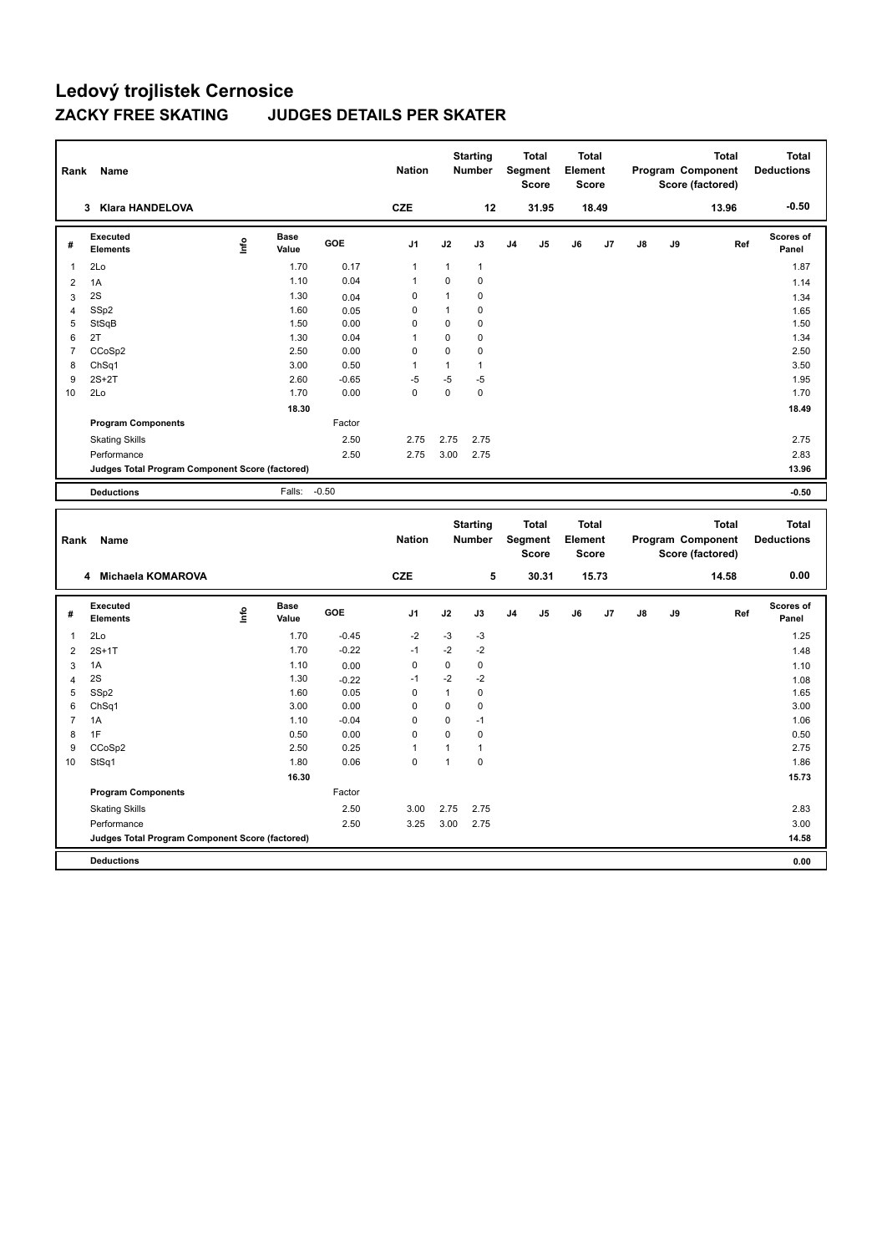| Rank           | Name<br><b>Klara HANDELOVA</b><br>3             |                                                          |              |                |              | <b>Starting</b><br><b>Number</b> | <b>Total</b><br>Segment<br><b>Score</b> | <b>Total</b><br>Element<br><b>Score</b> |                |    |    | <b>Total</b><br>Program Component<br>Score (factored) | <b>Total</b><br><b>Deductions</b> |
|----------------|-------------------------------------------------|----------------------------------------------------------|--------------|----------------|--------------|----------------------------------|-----------------------------------------|-----------------------------------------|----------------|----|----|-------------------------------------------------------|-----------------------------------|
|                |                                                 |                                                          |              | <b>CZE</b>     |              | 12                               | 31.95                                   |                                         | 18.49          |    |    | 13.96                                                 | $-0.50$                           |
| #              | Executed<br><b>Elements</b>                     | <b>Base</b><br>$\mathop{\mathsf{Irr}}\nolimits$<br>Value | <b>GOE</b>   | J <sub>1</sub> | J2           | J3                               | J <sub>4</sub><br>J <sub>5</sub>        | J6                                      | J <sub>7</sub> | J8 | J9 | Ref                                                   | <b>Scores of</b><br>Panel         |
| $\overline{1}$ | 2Lo                                             | 1.70                                                     | 0.17         | $\mathbf{1}$   | $\mathbf{1}$ | $\mathbf{1}$                     |                                         |                                         |                |    |    |                                                       | 1.87                              |
| $\overline{2}$ | 1A                                              | 1.10                                                     | 0.04         | $\overline{1}$ | $\mathbf 0$  | $\mathbf 0$                      |                                         |                                         |                |    |    |                                                       | 1.14                              |
| 3              | 2S                                              | 1.30                                                     | 0.04         | 0              | $\mathbf{1}$ | 0                                |                                         |                                         |                |    |    |                                                       | 1.34                              |
| 4              | SSp2                                            |                                                          | 1.60<br>0.05 | 0              | $\mathbf{1}$ | 0                                |                                         |                                         |                |    |    |                                                       | 1.65                              |
| 5              | StSqB                                           | 1.50                                                     | 0.00         | 0              | 0            | 0                                |                                         |                                         |                |    |    |                                                       | 1.50                              |
| 6              | 2T                                              | 1.30                                                     | 0.04         | $\overline{1}$ | $\Omega$     | 0                                |                                         |                                         |                |    |    |                                                       | 1.34                              |
| $\overline{7}$ | CCoSp2                                          | 2.50                                                     | 0.00         | $\Omega$       | $\Omega$     | 0                                |                                         |                                         |                |    |    |                                                       | 2.50                              |
| 8              | ChSq1                                           | 3.00                                                     | 0.50         | $\overline{1}$ | $\mathbf{1}$ | $\mathbf{1}$                     |                                         |                                         |                |    |    |                                                       | 3.50                              |
| 9              | $2S+2T$                                         | 2.60                                                     | $-0.65$      | $-5$           | $-5$         | $-5$                             |                                         |                                         |                |    |    |                                                       | 1.95                              |
| 10             | 2Lo                                             | 1.70                                                     | 0.00         | 0              | 0            | $\mathbf 0$                      |                                         |                                         |                |    |    |                                                       | 1.70                              |
|                |                                                 | 18.30                                                    |              |                |              |                                  |                                         |                                         |                |    |    |                                                       | 18.49                             |
|                | <b>Program Components</b>                       |                                                          | Factor       |                |              |                                  |                                         |                                         |                |    |    |                                                       |                                   |
|                | <b>Skating Skills</b>                           |                                                          | 2.50         | 2.75           | 2.75         | 2.75                             |                                         |                                         |                |    |    |                                                       | 2.75                              |
|                | Performance                                     |                                                          | 2.50         | 2.75           | 3.00         | 2.75                             |                                         |                                         |                |    |    |                                                       | 2.83                              |
|                | Judges Total Program Component Score (factored) |                                                          |              |                |              |                                  |                                         |                                         |                |    |    |                                                       | 13.96                             |
|                | <b>Deductions</b>                               | Falls:                                                   | $-0.50$      |                |              |                                  |                                         |                                         |                |    |    |                                                       | $-0.50$                           |
|                |                                                 |                                                          |              |                |              | <b>Starting</b>                  | <b>Total</b>                            | <b>Total</b>                            |                |    |    | <b>Total</b>                                          | <b>Total</b>                      |
| Rank           | Name                                            |                                                          |              | <b>Nation</b>  |              | <b>Number</b>                    | Segment                                 | <b>Element</b>                          |                |    |    | Program Component                                     | <b>Deductions</b>                 |

| Rank | Name                                            |             |                      |         | Nation         |      | Number |                | Segment<br><b>Score</b> | Element<br><b>Score</b> |       |               |    | Program Component<br>Score (factored) | <b>Deductions</b>  |
|------|-------------------------------------------------|-------------|----------------------|---------|----------------|------|--------|----------------|-------------------------|-------------------------|-------|---------------|----|---------------------------------------|--------------------|
|      | Michaela KOMAROVA<br>4                          |             |                      |         | <b>CZE</b>     |      | 5      |                | 30.31                   |                         | 15.73 |               |    | 14.58                                 | 0.00               |
| #    | <b>Executed</b><br><b>Elements</b>              | <u>info</u> | <b>Base</b><br>Value | GOE     | J <sub>1</sub> | J2   | J3     | J <sub>4</sub> | J <sub>5</sub>          | J6                      | J7    | $\mathsf{J}8$ | J9 | Ref                                   | Scores of<br>Panel |
|      | 2Lo                                             |             | 1.70                 | $-0.45$ | $-2$           | $-3$ | $-3$   |                |                         |                         |       |               |    |                                       | 1.25               |
| 2    | $2S+1T$                                         |             | 1.70                 | $-0.22$ | $-1$           | $-2$ | $-2$   |                |                         |                         |       |               |    |                                       | 1.48               |
| 3    | 1A                                              |             | 1.10                 | 0.00    | 0              | 0    | 0      |                |                         |                         |       |               |    |                                       | 1.10               |
| 4    | 2S                                              |             | 1.30                 | $-0.22$ | $-1$           | $-2$ | -2     |                |                         |                         |       |               |    |                                       | 1.08               |
| 5    | SSp2                                            |             | 1.60                 | 0.05    | 0              | 1    | 0      |                |                         |                         |       |               |    |                                       | 1.65               |
| 6    | ChSq1                                           |             | 3.00                 | 0.00    | 0              | 0    | 0      |                |                         |                         |       |               |    |                                       | 3.00               |
| 7    | 1A                                              |             | 1.10                 | $-0.04$ | 0              | 0    | $-1$   |                |                         |                         |       |               |    |                                       | 1.06               |
| 8    | 1F                                              |             | 0.50                 | 0.00    | 0              | 0    | 0      |                |                         |                         |       |               |    |                                       | 0.50               |
| 9    | CCoSp2                                          |             | 2.50                 | 0.25    | 1              | 1    |        |                |                         |                         |       |               |    |                                       | 2.75               |
| 10   | StSq1                                           |             | 1.80                 | 0.06    | 0              | 1    | 0      |                |                         |                         |       |               |    |                                       | 1.86               |
|      |                                                 |             | 16.30                |         |                |      |        |                |                         |                         |       |               |    |                                       | 15.73              |
|      | <b>Program Components</b>                       |             |                      | Factor  |                |      |        |                |                         |                         |       |               |    |                                       |                    |
|      | <b>Skating Skills</b>                           |             |                      | 2.50    | 3.00           | 2.75 | 2.75   |                |                         |                         |       |               |    |                                       | 2.83               |
|      | Performance                                     |             |                      | 2.50    | 3.25           | 3.00 | 2.75   |                |                         |                         |       |               |    |                                       | 3.00               |
|      | Judges Total Program Component Score (factored) |             |                      |         |                |      |        |                |                         |                         |       |               |    |                                       | 14.58              |
|      | <b>Deductions</b>                               |             |                      |         |                |      |        |                |                         |                         |       |               |    |                                       | 0.00               |
|      |                                                 |             |                      |         |                |      |        |                |                         |                         |       |               |    |                                       |                    |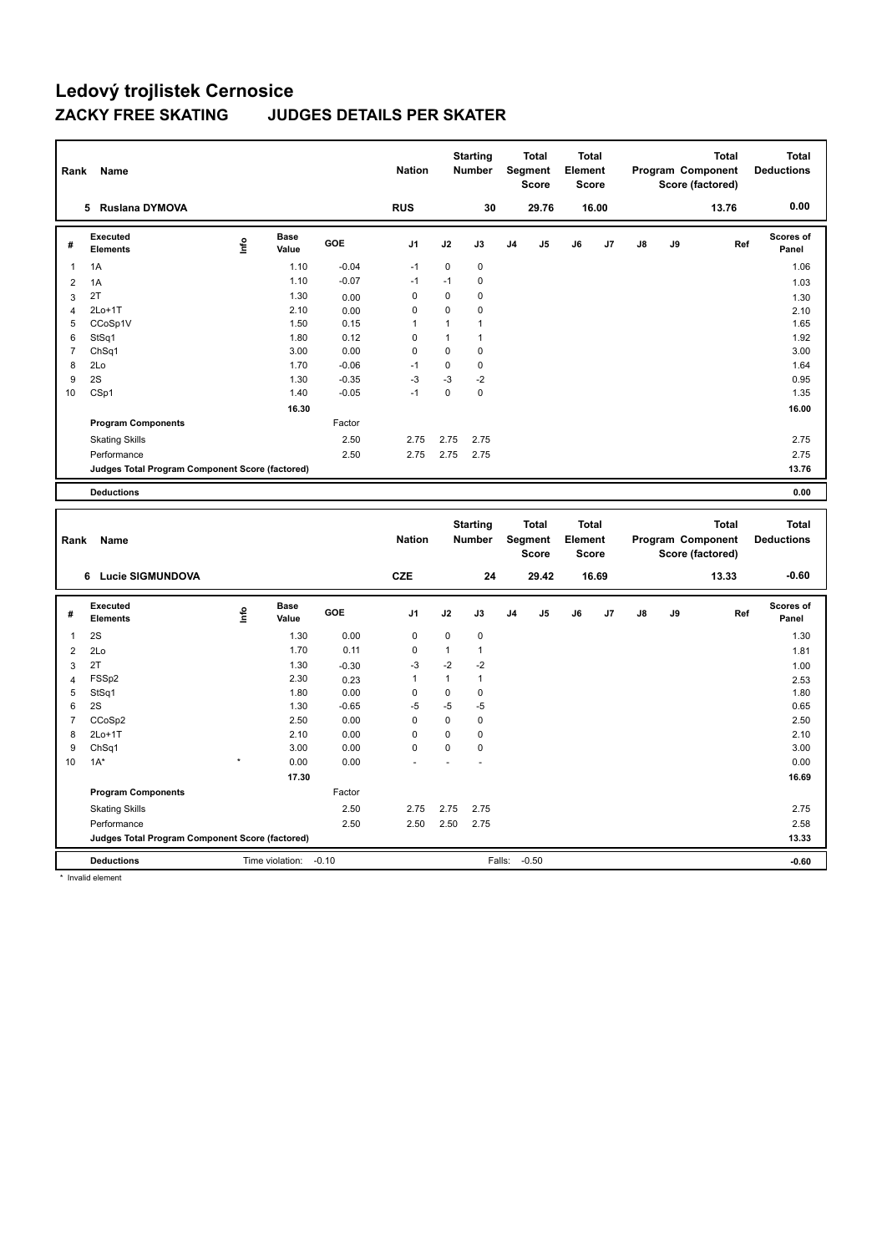| Rank           | Name                                            |                                  |                      |            | <b>Nation</b>  |             | <b>Starting</b><br><b>Number</b> |                | <b>Total</b><br>Segment<br><b>Score</b> | <b>Total</b><br>Element<br><b>Score</b> |       |    |    | <b>Total</b><br>Program Component<br>Score (factored) | <b>Total</b><br><b>Deductions</b> |
|----------------|-------------------------------------------------|----------------------------------|----------------------|------------|----------------|-------------|----------------------------------|----------------|-----------------------------------------|-----------------------------------------|-------|----|----|-------------------------------------------------------|-----------------------------------|
|                | <b>Ruslana DYMOVA</b><br>5                      |                                  |                      |            | <b>RUS</b>     |             | 30                               |                | 29.76                                   |                                         | 16.00 |    |    | 13.76                                                 | 0.00                              |
| #              | Executed<br><b>Elements</b>                     | $\mathop{\mathsf{Int}}\nolimits$ | <b>Base</b><br>Value | <b>GOE</b> | J <sub>1</sub> | J2          | J3                               | J <sub>4</sub> | J <sub>5</sub>                          | J6                                      | J7    | J8 | J9 | Ref                                                   | <b>Scores of</b><br>Panel         |
| $\mathbf{1}$   | 1A                                              |                                  | 1.10                 | $-0.04$    | $-1$           | $\mathbf 0$ | 0                                |                |                                         |                                         |       |    |    |                                                       | 1.06                              |
| 2              | 1A                                              |                                  | 1.10                 | $-0.07$    | $-1$           | $-1$        | 0                                |                |                                         |                                         |       |    |    |                                                       | 1.03                              |
| 3              | 2T                                              |                                  | 1.30                 | 0.00       | 0              | $\mathbf 0$ | 0                                |                |                                         |                                         |       |    |    |                                                       | 1.30                              |
| $\overline{4}$ | $2Lo+1T$                                        |                                  | 2.10                 | 0.00       | $\mathbf 0$    | $\mathbf 0$ | 0                                |                |                                         |                                         |       |    |    |                                                       | 2.10                              |
| 5              | CCoSp1V                                         |                                  | 1.50                 | 0.15       | $\overline{1}$ |             | $\mathbf{1}$                     |                |                                         |                                         |       |    |    |                                                       | 1.65                              |
| 6              | StSq1                                           |                                  | 1.80                 | 0.12       | 0              |             | $\mathbf 1$                      |                |                                         |                                         |       |    |    |                                                       | 1.92                              |
| $\overline{7}$ | ChSq1                                           |                                  | 3.00                 | 0.00       | 0              | $\mathbf 0$ | 0                                |                |                                         |                                         |       |    |    |                                                       | 3.00                              |
| 8              | 2Lo                                             |                                  | 1.70                 | $-0.06$    | $-1$           | 0           | 0                                |                |                                         |                                         |       |    |    |                                                       | 1.64                              |
| 9              | 2S                                              |                                  | 1.30                 | $-0.35$    | $-3$           | $-3$        | $-2$                             |                |                                         |                                         |       |    |    |                                                       | 0.95                              |
| 10             | CSp1                                            |                                  | 1.40                 | $-0.05$    | $-1$           | 0           | 0                                |                |                                         |                                         |       |    |    |                                                       | 1.35                              |
|                |                                                 |                                  | 16.30                |            |                |             |                                  |                |                                         |                                         |       |    |    |                                                       | 16.00                             |
|                | <b>Program Components</b>                       |                                  |                      | Factor     |                |             |                                  |                |                                         |                                         |       |    |    |                                                       |                                   |
|                | <b>Skating Skills</b>                           |                                  |                      | 2.50       | 2.75           | 2.75        | 2.75                             |                |                                         |                                         |       |    |    |                                                       | 2.75                              |
|                | Performance                                     |                                  |                      | 2.50       | 2.75           | 2.75        | 2.75                             |                |                                         |                                         |       |    |    |                                                       | 2.75                              |
|                | Judges Total Program Component Score (factored) |                                  |                      |            |                |             |                                  |                |                                         |                                         |       |    |    |                                                       | 13.76                             |
|                | <b>Deductions</b>                               |                                  |                      |            |                |             |                                  |                |                                         |                                         |       |    |    |                                                       | 0.00                              |

| Rank           | Name                                            |         |                      |            | <b>Nation</b>  |      | <b>Starting</b><br><b>Number</b> |                | <b>Total</b><br>Segment<br><b>Score</b> | <b>Total</b><br>Element<br><b>Score</b> |       |               |    | <b>Total</b><br>Program Component<br>Score (factored) | <b>Total</b><br><b>Deductions</b> |
|----------------|-------------------------------------------------|---------|----------------------|------------|----------------|------|----------------------------------|----------------|-----------------------------------------|-----------------------------------------|-------|---------------|----|-------------------------------------------------------|-----------------------------------|
|                | <b>Lucie SIGMUNDOVA</b><br>6                    |         |                      |            | <b>CZE</b>     |      | 24                               |                | 29.42                                   |                                         | 16.69 |               |    | 13.33                                                 | $-0.60$                           |
| #              | Executed<br><b>Elements</b>                     | lnfo    | <b>Base</b><br>Value | <b>GOE</b> | J <sub>1</sub> | J2   | J3                               | J <sub>4</sub> | J <sub>5</sub>                          | J6                                      | J7    | $\mathsf{J}8$ | J9 | Ref                                                   | <b>Scores of</b><br>Panel         |
| 1              | 2S                                              |         | 1.30                 | 0.00       | 0              | 0    | $\mathbf 0$                      |                |                                         |                                         |       |               |    |                                                       | 1.30                              |
| 2              | 2Lo                                             |         | 1.70                 | 0.11       | $\pmb{0}$      | 1    | $\mathbf{1}$                     |                |                                         |                                         |       |               |    |                                                       | 1.81                              |
| 3              | 2T                                              |         | 1.30                 | $-0.30$    | -3             | $-2$ | -2                               |                |                                         |                                         |       |               |    |                                                       | 1.00                              |
| $\overline{4}$ | FSS <sub>p2</sub>                               |         | 2.30                 | 0.23       | 1              | 1    | $\mathbf{1}$                     |                |                                         |                                         |       |               |    |                                                       | 2.53                              |
| 5              | StSq1                                           |         | 1.80                 | 0.00       | $\Omega$       | 0    | $\mathbf 0$                      |                |                                         |                                         |       |               |    |                                                       | 1.80                              |
| 6              | 2S                                              |         | 1.30                 | $-0.65$    | $-5$           | $-5$ | $-5$                             |                |                                         |                                         |       |               |    |                                                       | 0.65                              |
| $\overline{7}$ | CCoSp2                                          |         | 2.50                 | 0.00       | 0              | 0    | $\mathbf 0$                      |                |                                         |                                         |       |               |    |                                                       | 2.50                              |
| 8              | $2Lo+1T$                                        |         | 2.10                 | 0.00       | 0              | 0    | 0                                |                |                                         |                                         |       |               |    |                                                       | 2.10                              |
| 9              | ChSq1                                           |         | 3.00                 | 0.00       | $\Omega$       | 0    | 0                                |                |                                         |                                         |       |               |    |                                                       | 3.00                              |
| 10             | $1A^*$                                          | $\star$ | 0.00                 | 0.00       |                |      |                                  |                |                                         |                                         |       |               |    |                                                       | 0.00                              |
|                |                                                 |         | 17.30                |            |                |      |                                  |                |                                         |                                         |       |               |    |                                                       | 16.69                             |
|                | <b>Program Components</b>                       |         |                      | Factor     |                |      |                                  |                |                                         |                                         |       |               |    |                                                       |                                   |
|                | <b>Skating Skills</b>                           |         |                      | 2.50       | 2.75           | 2.75 | 2.75                             |                |                                         |                                         |       |               |    |                                                       | 2.75                              |
|                | Performance                                     |         |                      | 2.50       | 2.50           | 2.50 | 2.75                             |                |                                         |                                         |       |               |    |                                                       | 2.58                              |
|                | Judges Total Program Component Score (factored) |         |                      |            |                |      |                                  |                |                                         |                                         |       |               |    |                                                       | 13.33                             |
|                | <b>Deductions</b>                               |         | Time violation:      | $-0.10$    |                |      |                                  | Falls:         | $-0.50$                                 |                                         |       |               |    |                                                       | $-0.60$                           |

\* Invalid element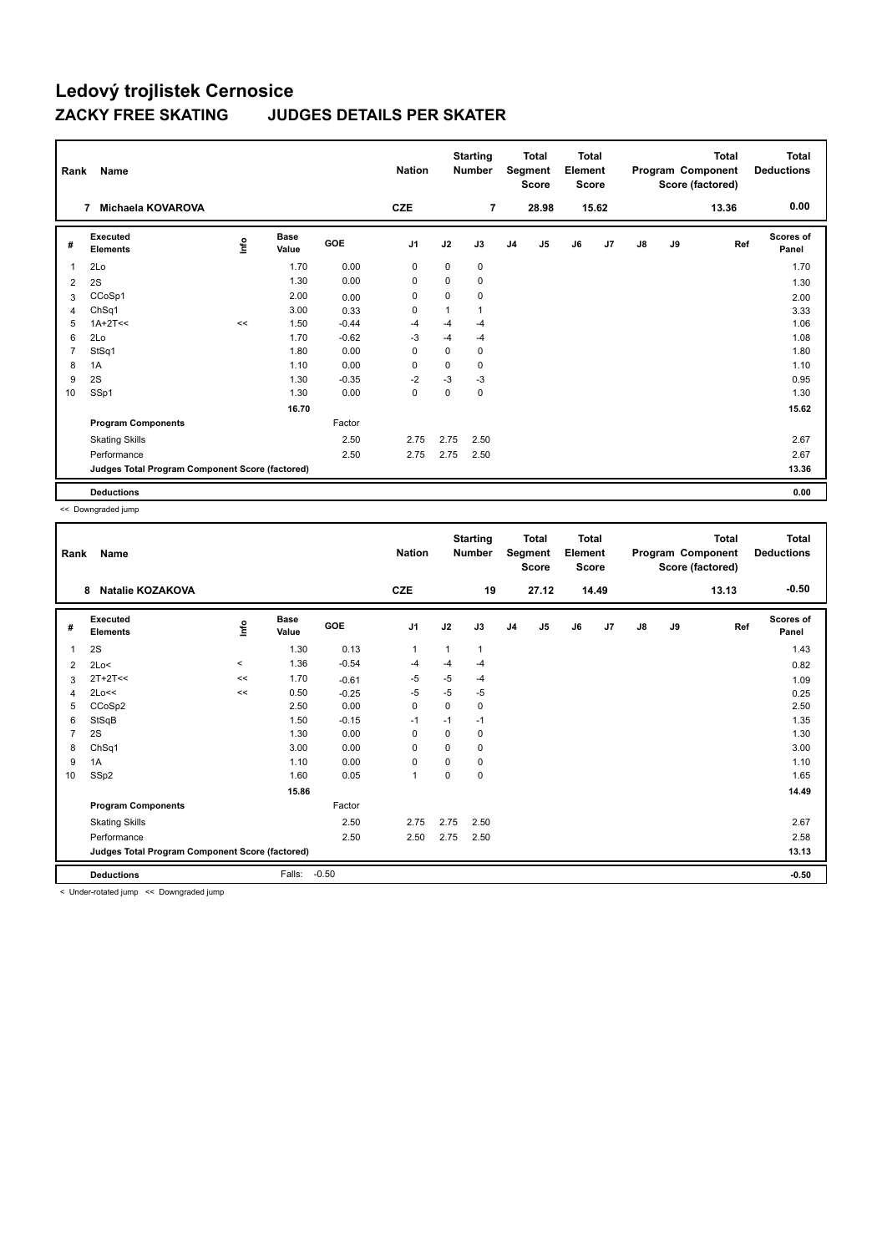| Rank           | Name                                            |      |                      |            | <b>Nation</b>  |          | <b>Starting</b><br><b>Number</b> |                | <b>Total</b><br>Segment<br><b>Score</b> | <b>Total</b><br>Element<br><b>Score</b> |                |    |    | Total<br>Program Component<br>Score (factored) | Total<br><b>Deductions</b> |
|----------------|-------------------------------------------------|------|----------------------|------------|----------------|----------|----------------------------------|----------------|-----------------------------------------|-----------------------------------------|----------------|----|----|------------------------------------------------|----------------------------|
|                | Michaela KOVAROVA<br>7                          |      |                      |            | <b>CZE</b>     |          | $\overline{7}$                   |                | 28.98                                   |                                         | 15.62          |    |    | 13.36                                          | 0.00                       |
| #              | Executed<br><b>Elements</b>                     | lnfo | <b>Base</b><br>Value | <b>GOE</b> | J <sub>1</sub> | J2       | J3                               | J <sub>4</sub> | J <sub>5</sub>                          | J6                                      | J <sub>7</sub> | J8 | J9 | Ref                                            | <b>Scores of</b><br>Panel  |
| $\overline{1}$ | 2Lo                                             |      | 1.70                 | 0.00       | 0              | 0        | 0                                |                |                                         |                                         |                |    |    |                                                | 1.70                       |
| 2              | 2S                                              |      | 1.30                 | 0.00       | 0              | $\Omega$ | 0                                |                |                                         |                                         |                |    |    |                                                | 1.30                       |
| 3              | CCoSp1                                          |      | 2.00                 | 0.00       | 0              | 0        | 0                                |                |                                         |                                         |                |    |    |                                                | 2.00                       |
| 4              | ChSq1                                           |      | 3.00                 | 0.33       | 0              | 1        | 1                                |                |                                         |                                         |                |    |    |                                                | 3.33                       |
| 5              | $1A+2T<<$                                       | <<   | 1.50                 | $-0.44$    | -4             | $-4$     | $-4$                             |                |                                         |                                         |                |    |    |                                                | 1.06                       |
| 6              | 2Lo                                             |      | 1.70                 | $-0.62$    | $-3$           | $-4$     | $-4$                             |                |                                         |                                         |                |    |    |                                                | 1.08                       |
| $\overline{7}$ | StSq1                                           |      | 1.80                 | 0.00       | 0              | 0        | 0                                |                |                                         |                                         |                |    |    |                                                | 1.80                       |
| 8              | 1A                                              |      | 1.10                 | 0.00       | 0              | 0        | 0                                |                |                                         |                                         |                |    |    |                                                | 1.10                       |
| 9              | 2S                                              |      | 1.30                 | $-0.35$    | $-2$           | $-3$     | $-3$                             |                |                                         |                                         |                |    |    |                                                | 0.95                       |
| 10             | SSp1                                            |      | 1.30                 | 0.00       | 0              | 0        | 0                                |                |                                         |                                         |                |    |    |                                                | 1.30                       |
|                |                                                 |      | 16.70                |            |                |          |                                  |                |                                         |                                         |                |    |    |                                                | 15.62                      |
|                | <b>Program Components</b>                       |      |                      | Factor     |                |          |                                  |                |                                         |                                         |                |    |    |                                                |                            |
|                | <b>Skating Skills</b>                           |      |                      | 2.50       | 2.75           | 2.75     | 2.50                             |                |                                         |                                         |                |    |    |                                                | 2.67                       |
|                | Performance                                     |      |                      | 2.50       | 2.75           | 2.75     | 2.50                             |                |                                         |                                         |                |    |    |                                                | 2.67                       |
|                | Judges Total Program Component Score (factored) |      |                      |            |                |          |                                  |                |                                         |                                         |                |    |    |                                                | 13.36                      |
|                | <b>Deductions</b>                               |      |                      |            |                |          |                                  |                |                                         |                                         |                |    |    |                                                | 0.00                       |

<< Downgraded jump

| Rank           | Name<br><b>Natalie KOZAKOVA</b><br>8                               |         |                      |         | <b>Nation</b>  |              | <b>Starting</b><br><b>Number</b> |                | <b>Total</b><br>Segment<br><b>Score</b> | <b>Total</b><br>Element<br><b>Score</b> |       |               |    | <b>Total</b><br>Program Component<br>Score (factored) | <b>Total</b><br><b>Deductions</b> |
|----------------|--------------------------------------------------------------------|---------|----------------------|---------|----------------|--------------|----------------------------------|----------------|-----------------------------------------|-----------------------------------------|-------|---------------|----|-------------------------------------------------------|-----------------------------------|
|                |                                                                    |         |                      |         | <b>CZE</b>     |              | 19                               |                | 27.12                                   |                                         | 14.49 |               |    | 13.13                                                 | $-0.50$                           |
| #              | Executed<br><b>Elements</b>                                        | ١nfo    | <b>Base</b><br>Value | GOE     | J <sub>1</sub> | J2           | J3                               | J <sub>4</sub> | J5                                      | J6                                      | J7    | $\mathsf{J}8$ | J9 | Ref                                                   | <b>Scores of</b><br>Panel         |
| 1              | 2S                                                                 |         | 1.30                 | 0.13    | 1              | $\mathbf{1}$ | 1                                |                |                                         |                                         |       |               |    |                                                       | 1.43                              |
| 2              | 2Lo<                                                               | $\prec$ | 1.36                 | $-0.54$ | $-4$           | $-4$         | -4                               |                |                                         |                                         |       |               |    |                                                       | 0.82                              |
| 3              | $2T+2T<<$                                                          | <<      | 1.70                 | $-0.61$ | -5             | $-5$         | -4                               |                |                                         |                                         |       |               |    |                                                       | 1.09                              |
| 4              | 2Lo<<                                                              | <<      | 0.50                 | $-0.25$ | $-5$           | $-5$         | -5                               |                |                                         |                                         |       |               |    |                                                       | 0.25                              |
| 5              | CCoSp2                                                             |         | 2.50                 | 0.00    | $\Omega$       | $\Omega$     | 0                                |                |                                         |                                         |       |               |    |                                                       | 2.50                              |
| 6              | StSqB                                                              |         | 1.50                 | $-0.15$ | $-1$           | $-1$         | $-1$                             |                |                                         |                                         |       |               |    |                                                       | 1.35                              |
| $\overline{7}$ | 2S                                                                 |         | 1.30                 | 0.00    | 0              | 0            | 0                                |                |                                         |                                         |       |               |    |                                                       | 1.30                              |
| 8              | ChSq1                                                              |         | 3.00                 | 0.00    | 0              | 0            | 0                                |                |                                         |                                         |       |               |    |                                                       | 3.00                              |
| 9              | 1A                                                                 |         | 1.10                 | 0.00    | $\Omega$       | $\Omega$     | 0                                |                |                                         |                                         |       |               |    |                                                       | 1.10                              |
| 10             | SSp2                                                               |         | 1.60                 | 0.05    | 1              | 0            | 0                                |                |                                         |                                         |       |               |    |                                                       | 1.65                              |
|                |                                                                    |         | 15.86                |         |                |              |                                  |                |                                         |                                         |       |               |    |                                                       | 14.49                             |
|                | <b>Program Components</b>                                          |         |                      | Factor  |                |              |                                  |                |                                         |                                         |       |               |    |                                                       |                                   |
|                | <b>Skating Skills</b>                                              |         |                      | 2.50    | 2.75           | 2.75         | 2.50                             |                |                                         |                                         |       |               |    |                                                       | 2.67                              |
|                | Performance                                                        |         |                      | 2.50    | 2.50           | 2.75         | 2.50                             |                |                                         |                                         |       |               |    |                                                       | 2.58                              |
|                | Judges Total Program Component Score (factored)                    |         |                      |         |                |              |                                  |                |                                         |                                         |       |               |    |                                                       | 13.13                             |
|                | <b>Deductions</b>                                                  |         | Falls:               | $-0.50$ |                |              |                                  |                |                                         |                                         |       |               |    |                                                       | $-0.50$                           |
|                | a children actual differences and the manufacturers of the service |         |                      |         |                |              |                                  |                |                                         |                                         |       |               |    |                                                       |                                   |

< Under-rotated jump << Downgraded jump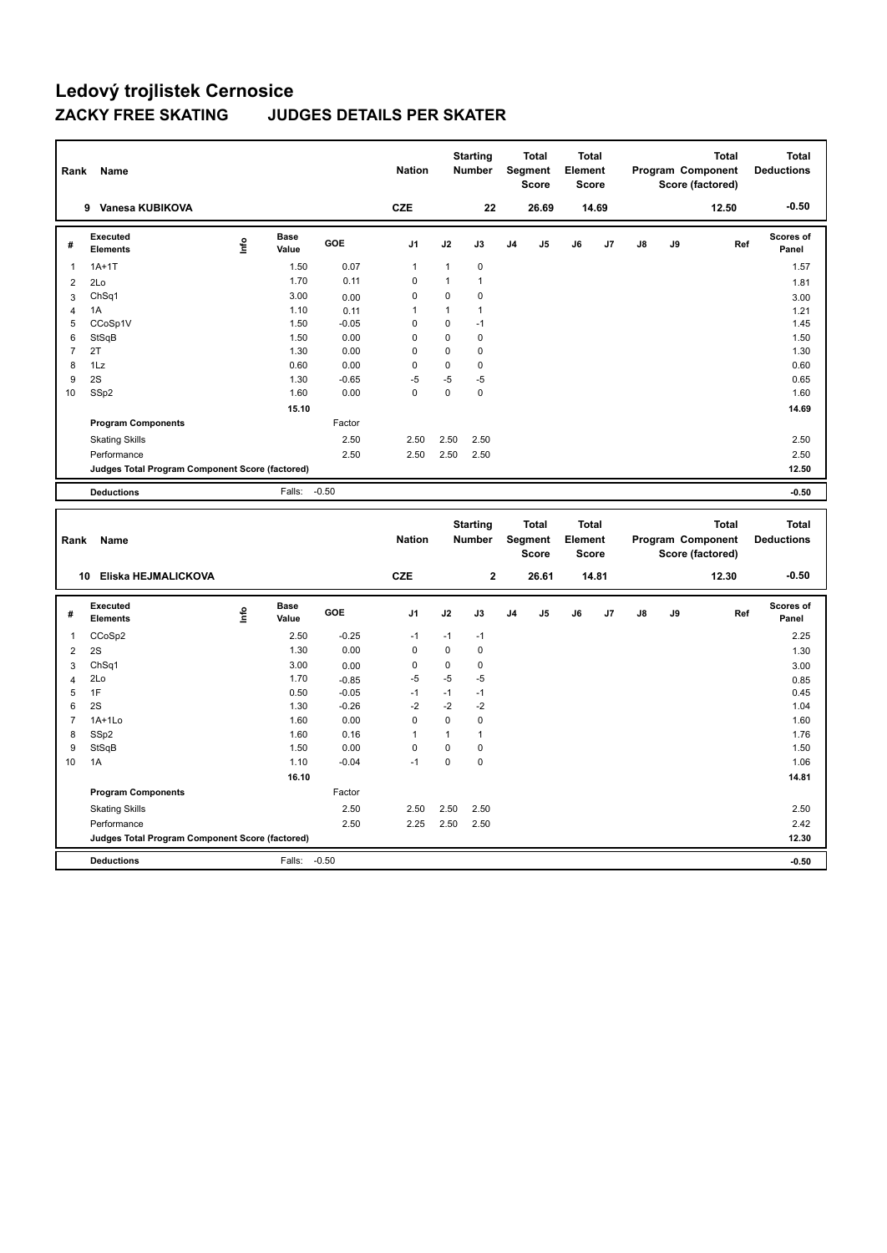| Rank           | Name                                            |      |                      |            | <b>Nation</b>  |              | <b>Starting</b><br><b>Number</b> | Segment        | Total<br><b>Score</b> | <b>Total</b><br>Element<br>Score |    |    |    | <b>Total</b><br>Program Component<br>Score (factored) | <b>Total</b><br><b>Deductions</b> |
|----------------|-------------------------------------------------|------|----------------------|------------|----------------|--------------|----------------------------------|----------------|-----------------------|----------------------------------|----|----|----|-------------------------------------------------------|-----------------------------------|
|                | Vanesa KUBIKOVA<br>9                            |      |                      |            | <b>CZE</b>     |              | 22                               |                | 26.69                 | 14.69                            |    |    |    | 12.50                                                 | $-0.50$                           |
| #              | Executed<br><b>Elements</b>                     | ١nfo | <b>Base</b><br>Value | <b>GOE</b> | J <sub>1</sub> | J2           | J3                               | J <sub>4</sub> | J5                    | J6                               | J7 | J8 | J9 | Ref                                                   | Scores of<br>Panel                |
| 1              | $1A+1T$                                         |      | 1.50                 | 0.07       | $\mathbf{1}$   | $\mathbf{1}$ | 0                                |                |                       |                                  |    |    |    |                                                       | 1.57                              |
| 2              | 2Lo                                             |      | 1.70                 | 0.11       | $\Omega$       | $\mathbf{1}$ | 1                                |                |                       |                                  |    |    |    |                                                       | 1.81                              |
| 3              | ChSq1                                           |      | 3.00                 | 0.00       | 0              | 0            | 0                                |                |                       |                                  |    |    |    |                                                       | 3.00                              |
| 4              | 1A                                              |      | 1.10                 | 0.11       | $\overline{1}$ | 1            | $\mathbf{1}$                     |                |                       |                                  |    |    |    |                                                       | 1.21                              |
| 5              | CCoSp1V                                         |      | 1.50                 | $-0.05$    | 0              | 0            | $-1$                             |                |                       |                                  |    |    |    |                                                       | 1.45                              |
| 6              | StSqB                                           |      | 1.50                 | 0.00       | $\Omega$       | $\mathbf 0$  | 0                                |                |                       |                                  |    |    |    |                                                       | 1.50                              |
| $\overline{7}$ | 2T                                              |      | 1.30                 | 0.00       | 0              | $\mathbf 0$  | $\mathbf 0$                      |                |                       |                                  |    |    |    |                                                       | 1.30                              |
| 8              | 1Lz                                             |      | 0.60                 | 0.00       | 0              | 0            | 0                                |                |                       |                                  |    |    |    |                                                       | 0.60                              |
| 9              | 2S                                              |      | 1.30                 | $-0.65$    | $-5$           | $-5$         | $-5$                             |                |                       |                                  |    |    |    |                                                       | 0.65                              |
| 10             | SSp2                                            |      | 1.60                 | 0.00       | 0              | $\pmb{0}$    | 0                                |                |                       |                                  |    |    |    |                                                       | 1.60                              |
|                |                                                 |      | 15.10                |            |                |              |                                  |                |                       |                                  |    |    |    |                                                       | 14.69                             |
|                | <b>Program Components</b>                       |      |                      | Factor     |                |              |                                  |                |                       |                                  |    |    |    |                                                       |                                   |
|                | <b>Skating Skills</b>                           |      |                      | 2.50       | 2.50           | 2.50         | 2.50                             |                |                       |                                  |    |    |    |                                                       | 2.50                              |
|                | Performance                                     |      |                      | 2.50       | 2.50           | 2.50         | 2.50                             |                |                       |                                  |    |    |    |                                                       | 2.50                              |
|                | Judges Total Program Component Score (factored) |      |                      |            |                |              |                                  |                |                       |                                  |    |    |    |                                                       | 12.50                             |
|                | <b>Deductions</b>                               |      | Falls: -0.50         |            |                |              |                                  |                |                       |                                  |    |    |    |                                                       | $-0.50$                           |
|                |                                                 |      |                      |            |                |              |                                  |                |                       |                                  |    |    |    |                                                       |                                   |
| Rank           | Name                                            |      |                      |            | <b>Nation</b>  |              | <b>Starting</b><br><b>Number</b> | Segment        | <b>Total</b><br>Score | <b>Total</b><br>Element<br>Score |    |    |    | <b>Total</b><br>Program Component<br>Score (factored) | <b>Total</b><br><b>Deductions</b> |

| nain           | <b>INGHIIG</b>                                  |      |                      |         | .              |             | ,,,,,,,,,,   |                | งงฐานงาน<br><b>Score</b> | --------<br><b>Score</b> |                |               |    | 110gruni vomponem<br>Score (factored) | <b>Deaders</b>            |
|----------------|-------------------------------------------------|------|----------------------|---------|----------------|-------------|--------------|----------------|--------------------------|--------------------------|----------------|---------------|----|---------------------------------------|---------------------------|
|                | Eliska HEJMALICKOVA<br>10                       |      |                      |         | <b>CZE</b>     |             | $\mathbf{2}$ |                | 26.61                    |                          | 14.81          |               |    | 12.30                                 | $-0.50$                   |
| #              | Executed<br><b>Elements</b>                     | ١nfo | <b>Base</b><br>Value | GOE     | J <sub>1</sub> | J2          | J3           | J <sub>4</sub> | J5                       | J6                       | J <sub>7</sub> | $\mathsf{J}8$ | J9 | Ref                                   | <b>Scores of</b><br>Panel |
| 1              | CCoSp2                                          |      | 2.50                 | $-0.25$ | $-1$           | $-1$        | $-1$         |                |                          |                          |                |               |    |                                       | 2.25                      |
| 2              | 2S                                              |      | 1.30                 | 0.00    | 0              | 0           | 0            |                |                          |                          |                |               |    |                                       | 1.30                      |
| 3              | ChSq1                                           |      | 3.00                 | 0.00    | 0              | 0           | 0            |                |                          |                          |                |               |    |                                       | 3.00                      |
| 4              | 2Lo                                             |      | 1.70                 | $-0.85$ | $-5$           | $-5$        | $-5$         |                |                          |                          |                |               |    |                                       | 0.85                      |
| 5              | 1F                                              |      | 0.50                 | $-0.05$ | $-1$           | $-1$        | $-1$         |                |                          |                          |                |               |    |                                       | 0.45                      |
| 6              | 2S                                              |      | 1.30                 | $-0.26$ | $-2$           | $-2$        | $-2$         |                |                          |                          |                |               |    |                                       | 1.04                      |
| $\overline{7}$ | $1A+1Lo$                                        |      | 1.60                 | 0.00    | $\mathbf 0$    | $\mathbf 0$ | 0            |                |                          |                          |                |               |    |                                       | 1.60                      |
| 8              | SSp2                                            |      | 1.60                 | 0.16    | $\overline{1}$ |             |              |                |                          |                          |                |               |    |                                       | 1.76                      |
| 9              | StSqB                                           |      | 1.50                 | 0.00    | $\mathbf 0$    | 0           | 0            |                |                          |                          |                |               |    |                                       | 1.50                      |
| 10             | 1A                                              |      | 1.10                 | $-0.04$ | $-1$           | 0           | 0            |                |                          |                          |                |               |    |                                       | 1.06                      |
|                |                                                 |      | 16.10                |         |                |             |              |                |                          |                          |                |               |    |                                       | 14.81                     |
|                | <b>Program Components</b>                       |      |                      | Factor  |                |             |              |                |                          |                          |                |               |    |                                       |                           |
|                | <b>Skating Skills</b>                           |      |                      | 2.50    | 2.50           | 2.50        | 2.50         |                |                          |                          |                |               |    |                                       | 2.50                      |
|                | Performance                                     |      |                      | 2.50    | 2.25           | 2.50        | 2.50         |                |                          |                          |                |               |    |                                       | 2.42                      |
|                | Judges Total Program Component Score (factored) |      |                      |         |                |             |              |                |                          |                          |                |               |    |                                       | 12.30                     |
|                | <b>Deductions</b>                               |      | Falls:               | $-0.50$ |                |             |              |                |                          |                          |                |               |    |                                       | $-0.50$                   |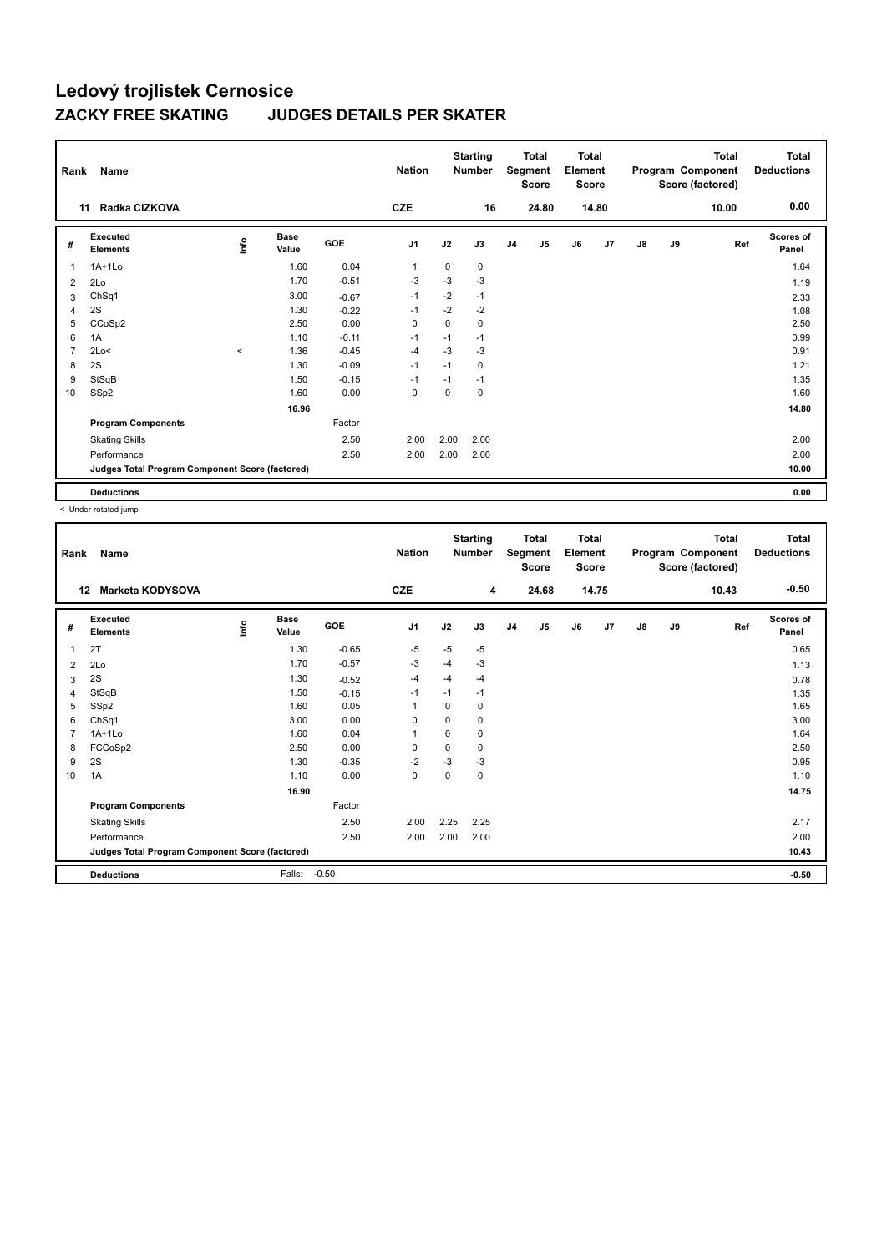| Rank           | Name                                            |                                  |                      |            | <b>Nation</b> |             | <b>Starting</b><br><b>Number</b> |                | <b>Total</b><br>Segment<br><b>Score</b> | <b>Total</b><br>Element<br><b>Score</b> |                |    |    | Total<br>Program Component<br>Score (factored) | <b>Total</b><br><b>Deductions</b> |
|----------------|-------------------------------------------------|----------------------------------|----------------------|------------|---------------|-------------|----------------------------------|----------------|-----------------------------------------|-----------------------------------------|----------------|----|----|------------------------------------------------|-----------------------------------|
|                | Radka CIZKOVA<br>11                             |                                  |                      |            | <b>CZE</b>    |             | 16                               |                | 24.80                                   |                                         | 14.80          |    |    | 10.00                                          | 0.00                              |
| #              | <b>Executed</b><br><b>Elements</b>              | $\mathop{\mathsf{Irr}}\nolimits$ | <b>Base</b><br>Value | <b>GOE</b> | J1            | J2          | J3                               | J <sub>4</sub> | J5                                      | J6                                      | J <sub>7</sub> | J8 | J9 | Ref                                            | <b>Scores of</b><br>Panel         |
| $\overline{1}$ | $1A+1Lo$                                        |                                  | 1.60                 | 0.04       | $\mathbf 1$   | $\mathbf 0$ | 0                                |                |                                         |                                         |                |    |    |                                                | 1.64                              |
| 2              | 2Lo                                             |                                  | 1.70                 | $-0.51$    | $-3$          | $-3$        | $-3$                             |                |                                         |                                         |                |    |    |                                                | 1.19                              |
| 3              | ChSq1                                           |                                  | 3.00                 | $-0.67$    | $-1$          | $-2$        | $-1$                             |                |                                         |                                         |                |    |    |                                                | 2.33                              |
| 4              | 2S                                              |                                  | 1.30                 | $-0.22$    | -1            | $-2$        | $-2$                             |                |                                         |                                         |                |    |    |                                                | 1.08                              |
| 5              | CCoSp2                                          |                                  | 2.50                 | 0.00       | $\mathbf 0$   | 0           | 0                                |                |                                         |                                         |                |    |    |                                                | 2.50                              |
| 6              | 1A                                              |                                  | 1.10                 | $-0.11$    | $-1$          | $-1$        | $-1$                             |                |                                         |                                         |                |    |    |                                                | 0.99                              |
| $\overline{7}$ | 2Lo<                                            | $\prec$                          | 1.36                 | $-0.45$    | $-4$          | $-3$        | $-3$                             |                |                                         |                                         |                |    |    |                                                | 0.91                              |
| 8              | 2S                                              |                                  | 1.30                 | $-0.09$    | $-1$          | $-1$        | 0                                |                |                                         |                                         |                |    |    |                                                | 1.21                              |
| 9              | StSqB                                           |                                  | 1.50                 | $-0.15$    | $-1$          | $-1$        | $-1$                             |                |                                         |                                         |                |    |    |                                                | 1.35                              |
| 10             | SSp2                                            |                                  | 1.60                 | 0.00       | $\mathbf 0$   | $\Omega$    | 0                                |                |                                         |                                         |                |    |    |                                                | 1.60                              |
|                |                                                 |                                  | 16.96                |            |               |             |                                  |                |                                         |                                         |                |    |    |                                                | 14.80                             |
|                | <b>Program Components</b>                       |                                  |                      | Factor     |               |             |                                  |                |                                         |                                         |                |    |    |                                                |                                   |
|                | <b>Skating Skills</b>                           |                                  |                      | 2.50       | 2.00          | 2.00        | 2.00                             |                |                                         |                                         |                |    |    |                                                | 2.00                              |
|                | Performance                                     |                                  |                      | 2.50       | 2.00          | 2.00        | 2.00                             |                |                                         |                                         |                |    |    |                                                | 2.00                              |
|                | Judges Total Program Component Score (factored) |                                  |                      |            |               |             |                                  |                |                                         |                                         |                |    |    |                                                | 10.00                             |
|                | <b>Deductions</b>                               |                                  |                      |            |               |             |                                  |                |                                         |                                         |                |    |    |                                                | 0.00                              |

| Rank           | Name                                            |      |                      |            | <b>Nation</b>  |          | <b>Starting</b><br><b>Number</b> |                | <b>Total</b><br>Segment<br><b>Score</b> | <b>Total</b><br>Element<br><b>Score</b> |                |               |    | <b>Total</b><br>Program Component<br>Score (factored) | <b>Total</b><br><b>Deductions</b> |
|----------------|-------------------------------------------------|------|----------------------|------------|----------------|----------|----------------------------------|----------------|-----------------------------------------|-----------------------------------------|----------------|---------------|----|-------------------------------------------------------|-----------------------------------|
|                | <b>Marketa KODYSOVA</b><br>12                   |      |                      |            | <b>CZE</b>     |          | 4                                |                | 24.68                                   |                                         | 14.75          |               |    | 10.43                                                 | $-0.50$                           |
| #              | Executed<br><b>Elements</b>                     | ١nfo | <b>Base</b><br>Value | <b>GOE</b> | J1             | J2       | J3                               | J <sub>4</sub> | J5                                      | J6                                      | J <sub>7</sub> | $\mathsf{J}8$ | J9 | Ref                                                   | <b>Scores of</b><br>Panel         |
| 1              | 2T                                              |      | 1.30                 | $-0.65$    | $-5$           | $-5$     | $-5$                             |                |                                         |                                         |                |               |    |                                                       | 0.65                              |
| 2              | 2Lo                                             |      | 1.70                 | $-0.57$    | -3             | $-4$     | $-3$                             |                |                                         |                                         |                |               |    |                                                       | 1.13                              |
| 3              | 2S                                              |      | 1.30                 | $-0.52$    | -4             | $-4$     | $-4$                             |                |                                         |                                         |                |               |    |                                                       | 0.78                              |
| 4              | StSqB                                           |      | 1.50                 | $-0.15$    | $-1$           | $-1$     | $-1$                             |                |                                         |                                         |                |               |    |                                                       | 1.35                              |
| 5              | SSp2                                            |      | 1.60                 | 0.05       |                | 0        | 0                                |                |                                         |                                         |                |               |    |                                                       | 1.65                              |
| 6              | ChSq1                                           |      | 3.00                 | 0.00       | $\mathbf 0$    | $\Omega$ | 0                                |                |                                         |                                         |                |               |    |                                                       | 3.00                              |
| $\overline{7}$ | $1A+1Lo$                                        |      | 1.60                 | 0.04       | $\overline{1}$ | 0        | 0                                |                |                                         |                                         |                |               |    |                                                       | 1.64                              |
| 8              | FCCoSp2                                         |      | 2.50                 | 0.00       | $\mathbf 0$    | 0        | 0                                |                |                                         |                                         |                |               |    |                                                       | 2.50                              |
| 9              | 2S                                              |      | 1.30                 | $-0.35$    | $-2$           | $-3$     | $-3$                             |                |                                         |                                         |                |               |    |                                                       | 0.95                              |
| 10             | 1A                                              |      | 1.10                 | 0.00       | $\pmb{0}$      | 0        | 0                                |                |                                         |                                         |                |               |    |                                                       | 1.10                              |
|                |                                                 |      | 16.90                |            |                |          |                                  |                |                                         |                                         |                |               |    |                                                       | 14.75                             |
|                | <b>Program Components</b>                       |      |                      | Factor     |                |          |                                  |                |                                         |                                         |                |               |    |                                                       |                                   |
|                | <b>Skating Skills</b>                           |      |                      | 2.50       | 2.00           | 2.25     | 2.25                             |                |                                         |                                         |                |               |    |                                                       | 2.17                              |
|                | Performance                                     |      |                      | 2.50       | 2.00           | 2.00     | 2.00                             |                |                                         |                                         |                |               |    |                                                       | 2.00                              |
|                | Judges Total Program Component Score (factored) |      |                      |            |                |          |                                  |                |                                         |                                         |                |               |    |                                                       | 10.43                             |
|                | <b>Deductions</b>                               |      | Falls:               | $-0.50$    |                |          |                                  |                |                                         |                                         |                |               |    |                                                       | $-0.50$                           |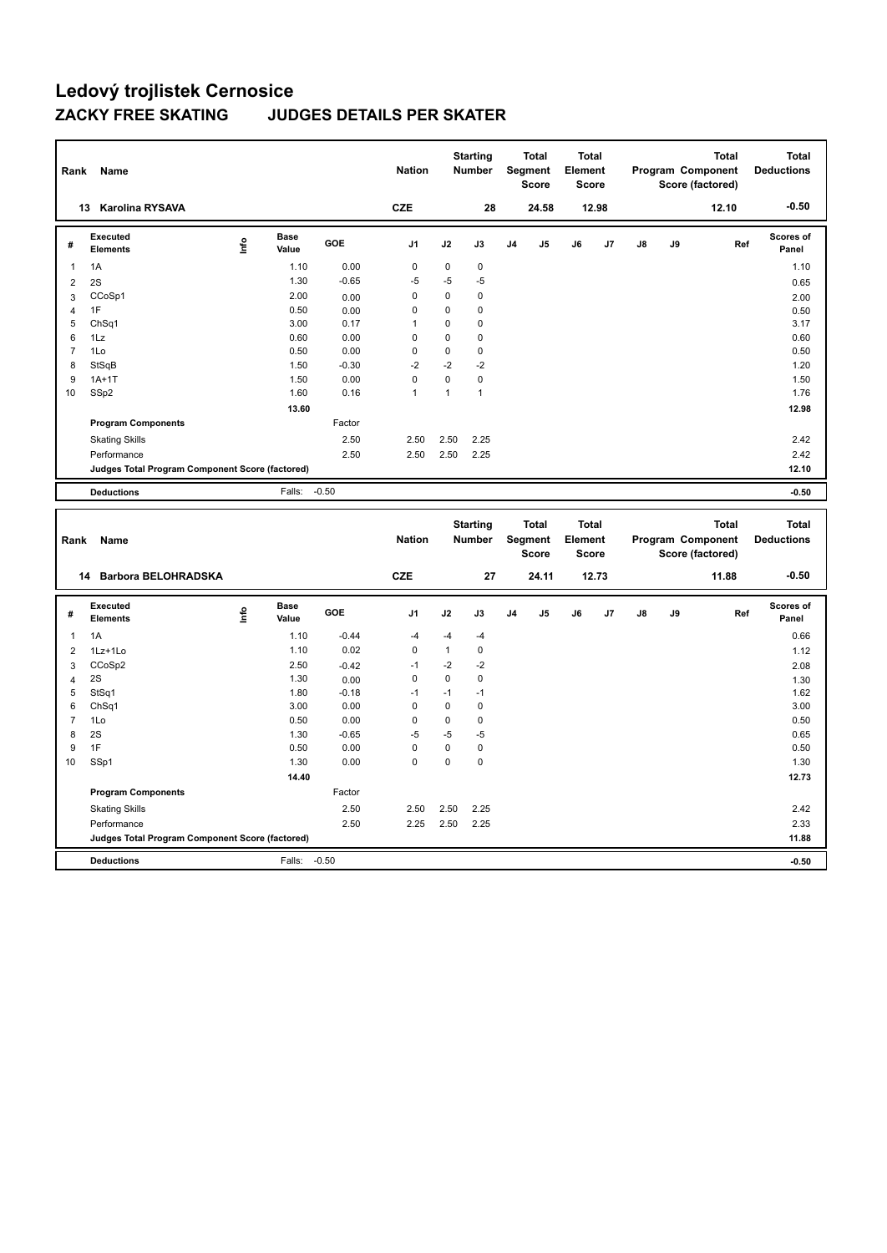| Rank           | Name                                            |      |                      |         | <b>Nation</b>  |             | <b>Starting</b><br><b>Number</b> |                | <b>Total</b><br>Segment<br><b>Score</b>        | <b>Total</b><br>Element<br><b>Score</b> |       |               |    | <b>Total</b><br><b>Program Component</b><br>Score (factored) | <b>Total</b><br><b>Deductions</b> |
|----------------|-------------------------------------------------|------|----------------------|---------|----------------|-------------|----------------------------------|----------------|------------------------------------------------|-----------------------------------------|-------|---------------|----|--------------------------------------------------------------|-----------------------------------|
| 13             | <b>Karolina RYSAVA</b>                          |      |                      |         | <b>CZE</b>     |             | 28                               |                | 24.58                                          |                                         | 12.98 |               |    | 12.10                                                        | $-0.50$                           |
| #              | <b>Executed</b><br><b>Elements</b>              | lnfo | <b>Base</b><br>Value | GOE     | J <sub>1</sub> | J2          | J3                               | J <sub>4</sub> | J <sub>5</sub>                                 | J6                                      | J7    | $\mathsf{J}8$ | J9 | Ref                                                          | <b>Scores of</b><br>Panel         |
| $\overline{1}$ | 1A                                              |      | 1.10                 | 0.00    | 0              | 0           | 0                                |                |                                                |                                         |       |               |    |                                                              | 1.10                              |
| 2              | 2S                                              |      | 1.30                 | $-0.65$ | $-5$           | $-5$        | $-5$                             |                |                                                |                                         |       |               |    |                                                              | 0.65                              |
| 3              | CCoSp1                                          |      | 2.00                 | 0.00    | 0              | $\mathbf 0$ | $\mathbf 0$                      |                |                                                |                                         |       |               |    |                                                              | 2.00                              |
| 4              | 1F                                              |      | 0.50                 | 0.00    | 0              | $\mathbf 0$ | 0                                |                |                                                |                                         |       |               |    |                                                              | 0.50                              |
| 5              | ChSq1                                           |      | 3.00                 | 0.17    | $\overline{1}$ | $\mathbf 0$ | $\mathbf 0$                      |                |                                                |                                         |       |               |    |                                                              | 3.17                              |
| 6              | 1Lz                                             |      | 0.60                 | 0.00    | 0              | $\mathbf 0$ | 0                                |                |                                                |                                         |       |               |    |                                                              | 0.60                              |
| $\overline{7}$ | 1Lo                                             |      | 0.50                 | 0.00    | 0              | $\mathbf 0$ | $\mathbf 0$                      |                |                                                |                                         |       |               |    |                                                              | 0.50                              |
| 8              | StSqB                                           |      | 1.50                 | $-0.30$ | $-2$           | $-2$        | $-2$                             |                |                                                |                                         |       |               |    |                                                              | 1.20                              |
| 9              | $1A+1T$                                         |      | 1.50                 | 0.00    | $\mathbf 0$    | $\mathbf 0$ | $\mathbf 0$                      |                |                                                |                                         |       |               |    |                                                              | 1.50                              |
| 10             | SSp2                                            |      | 1.60                 | 0.16    | $\mathbf{1}$   | 1           | $\mathbf{1}$                     |                |                                                |                                         |       |               |    |                                                              | 1.76                              |
|                |                                                 |      | 13.60                |         |                |             |                                  |                |                                                |                                         |       |               |    |                                                              | 12.98                             |
|                | <b>Program Components</b>                       |      |                      | Factor  |                |             |                                  |                |                                                |                                         |       |               |    |                                                              |                                   |
|                | <b>Skating Skills</b>                           |      |                      | 2.50    | 2.50           | 2.50        | 2.25                             |                |                                                |                                         |       |               |    |                                                              | 2.42                              |
|                | Performance                                     |      |                      | 2.50    | 2.50           | 2.50        | 2.25                             |                |                                                |                                         |       |               |    |                                                              | 2.42                              |
|                | Judges Total Program Component Score (factored) |      |                      |         |                |             |                                  |                |                                                |                                         |       |               |    |                                                              | 12.10                             |
|                | <b>Deductions</b>                               |      | Falls: -0.50         |         |                |             |                                  |                |                                                |                                         |       |               |    |                                                              | $-0.50$                           |
|                |                                                 |      |                      |         |                |             |                                  |                |                                                |                                         |       |               |    |                                                              |                                   |
| Rank           | Name                                            |      |                      |         | <b>Nation</b>  |             | <b>Starting</b><br><b>Number</b> |                | <b>Total</b><br><b>Segment</b><br><b>Score</b> | Total<br>Element<br><b>Score</b>        |       |               |    | <b>Total</b><br>Program Component<br>Score (factored)        | <b>Total</b><br><b>Deductions</b> |

|                | <b>Barbora BELOHRADSKA</b><br>14                |      |                      |         | <b>CZE</b>     |              | 27          |                | 24.11          |    | 12.73 |    |    | 11.88 | $-0.50$            |
|----------------|-------------------------------------------------|------|----------------------|---------|----------------|--------------|-------------|----------------|----------------|----|-------|----|----|-------|--------------------|
| #              | Executed<br><b>Elements</b>                     | Info | <b>Base</b><br>Value | GOE     | J <sub>1</sub> | J2           | J3          | J <sub>4</sub> | J <sub>5</sub> | J6 | J7    | J8 | J9 | Ref   | Scores of<br>Panel |
| 1              | 1A                                              |      | 1.10                 | $-0.44$ | $-4$           | $-4$         | $-4$        |                |                |    |       |    |    |       | 0.66               |
| $\overline{2}$ | 1Lz+1Lo                                         |      | 1.10                 | 0.02    | $\mathbf 0$    | $\mathbf{1}$ | 0           |                |                |    |       |    |    |       | 1.12               |
| 3              | CCoSp2                                          |      | 2.50                 | $-0.42$ | $-1$           | $-2$         | $-2$        |                |                |    |       |    |    |       | 2.08               |
| $\overline{4}$ | 2S                                              |      | 1.30                 | 0.00    | 0              | 0            | 0           |                |                |    |       |    |    |       | 1.30               |
| 5              | StSq1                                           |      | 1.80                 | $-0.18$ | $-1$           | $-1$         | $-1$        |                |                |    |       |    |    |       | 1.62               |
| 6              | ChSq1                                           |      | 3.00                 | 0.00    | 0              | 0            | 0           |                |                |    |       |    |    |       | 3.00               |
| $\overline{7}$ | 1Lo                                             |      | 0.50                 | 0.00    | 0              | 0            | 0           |                |                |    |       |    |    |       | 0.50               |
| 8              | 2S                                              |      | 1.30                 | $-0.65$ | $-5$           | $-5$         | -5          |                |                |    |       |    |    |       | 0.65               |
| 9              | 1F                                              |      | 0.50                 | 0.00    | $\mathbf 0$    | 0            | $\mathbf 0$ |                |                |    |       |    |    |       | 0.50               |
| 10             | SSp1                                            |      | 1.30                 | 0.00    | 0              | 0            | $\mathbf 0$ |                |                |    |       |    |    |       | 1.30               |
|                |                                                 |      | 14.40                |         |                |              |             |                |                |    |       |    |    |       | 12.73              |
|                | <b>Program Components</b>                       |      |                      | Factor  |                |              |             |                |                |    |       |    |    |       |                    |
|                | <b>Skating Skills</b>                           |      |                      | 2.50    | 2.50           | 2.50         | 2.25        |                |                |    |       |    |    |       | 2.42               |
|                | Performance                                     |      |                      | 2.50    | 2.25           | 2.50         | 2.25        |                |                |    |       |    |    |       | 2.33               |
|                | Judges Total Program Component Score (factored) |      |                      |         |                |              |             |                |                |    |       |    |    |       | 11.88              |
|                | <b>Deductions</b>                               |      | Falls:               | $-0.50$ |                |              |             |                |                |    |       |    |    |       | $-0.50$            |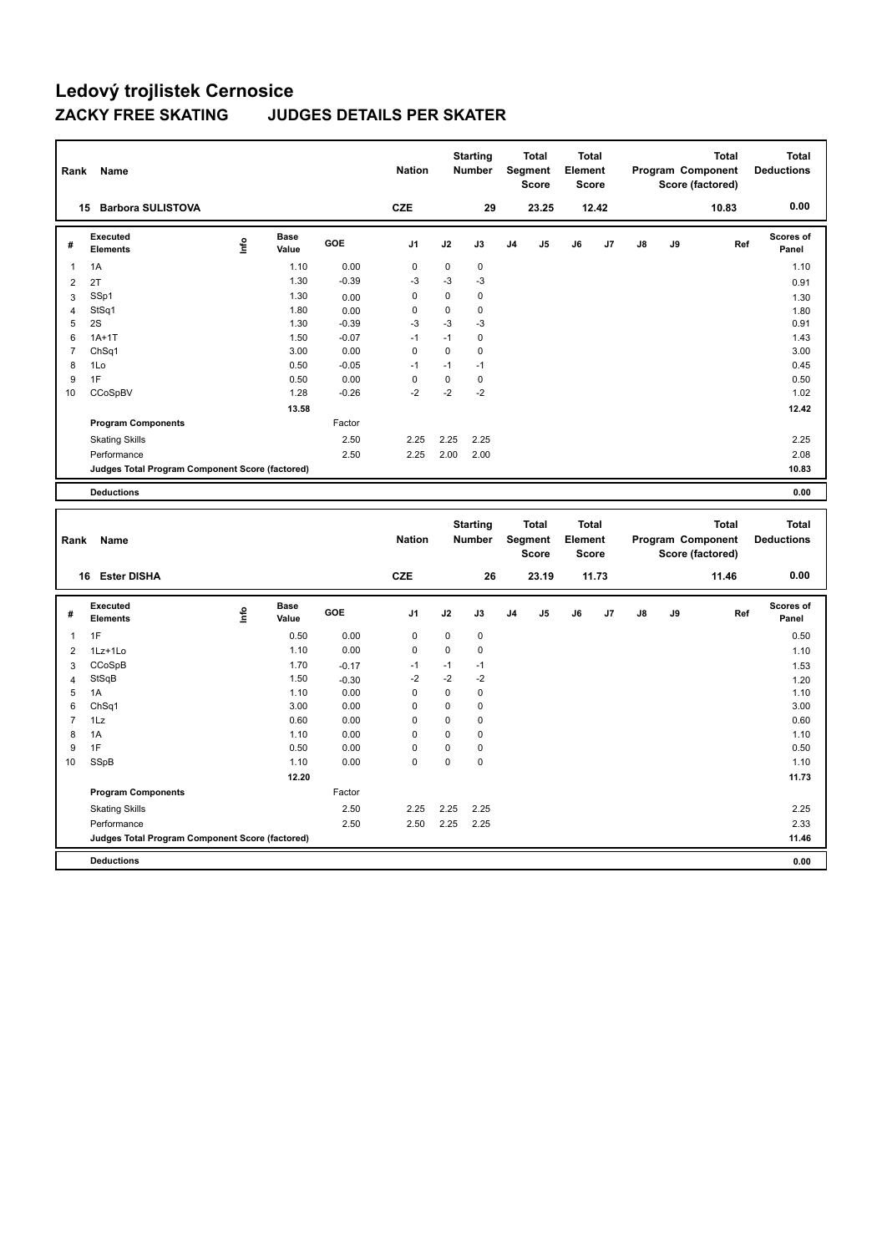| Rank           | Name                                            |                                  |                      |            | <b>Nation</b> |             | <b>Starting</b><br><b>Number</b> |                | <b>Total</b><br>Segment<br><b>Score</b> | <b>Total</b><br>Element<br><b>Score</b> |       |    |    | <b>Total</b><br>Program Component<br>Score (factored) | <b>Total</b><br><b>Deductions</b> |
|----------------|-------------------------------------------------|----------------------------------|----------------------|------------|---------------|-------------|----------------------------------|----------------|-----------------------------------------|-----------------------------------------|-------|----|----|-------------------------------------------------------|-----------------------------------|
| 15             | <b>Barbora SULISTOVA</b>                        |                                  |                      |            | <b>CZE</b>    |             | 29                               |                | 23.25                                   |                                         | 12.42 |    |    | 10.83                                                 | 0.00                              |
| #              | Executed<br><b>Elements</b>                     | $\mathop{\mathsf{Irr}}\nolimits$ | <b>Base</b><br>Value | <b>GOE</b> | J1            | J2          | J3                               | J <sub>4</sub> | J <sub>5</sub>                          | J6                                      | J7    | J8 | J9 | Ref                                                   | Scores of<br>Panel                |
| $\mathbf{1}$   | 1A                                              |                                  | 1.10                 | 0.00       | $\mathbf 0$   | $\Omega$    | $\mathbf 0$                      |                |                                         |                                         |       |    |    |                                                       | 1.10                              |
| 2              | 2T                                              |                                  | 1.30                 | $-0.39$    | $-3$          | $-3$        | $-3$                             |                |                                         |                                         |       |    |    |                                                       | 0.91                              |
| 3              | SSp1                                            |                                  | 1.30                 | 0.00       | 0             | $\mathbf 0$ | 0                                |                |                                         |                                         |       |    |    |                                                       | 1.30                              |
| $\overline{4}$ | StSq1                                           |                                  | 1.80                 | 0.00       | 0             | 0           | 0                                |                |                                         |                                         |       |    |    |                                                       | 1.80                              |
| 5              | 2S                                              |                                  | 1.30                 | $-0.39$    | $-3$          | $-3$        | $-3$                             |                |                                         |                                         |       |    |    |                                                       | 0.91                              |
| 6              | $1A+1T$                                         |                                  | 1.50                 | $-0.07$    | $-1$          | $-1$        | 0                                |                |                                         |                                         |       |    |    |                                                       | 1.43                              |
| $\overline{7}$ | ChSq1                                           |                                  | 3.00                 | 0.00       | 0             | $\mathbf 0$ | $\mathbf 0$                      |                |                                         |                                         |       |    |    |                                                       | 3.00                              |
| 8              | 1Lo                                             |                                  | 0.50                 | $-0.05$    | $-1$          | $-1$        | $-1$                             |                |                                         |                                         |       |    |    |                                                       | 0.45                              |
| 9              | 1F                                              |                                  | 0.50                 | 0.00       | $\Omega$      | $\Omega$    | 0                                |                |                                         |                                         |       |    |    |                                                       | 0.50                              |
| 10             | CCoSpBV                                         |                                  | 1.28                 | $-0.26$    | $-2$          | $-2$        | $-2$                             |                |                                         |                                         |       |    |    |                                                       | 1.02                              |
|                |                                                 |                                  | 13.58                |            |               |             |                                  |                |                                         |                                         |       |    |    |                                                       | 12.42                             |
|                | <b>Program Components</b>                       |                                  |                      | Factor     |               |             |                                  |                |                                         |                                         |       |    |    |                                                       |                                   |
|                | <b>Skating Skills</b>                           |                                  |                      | 2.50       | 2.25          | 2.25        | 2.25                             |                |                                         |                                         |       |    |    |                                                       | 2.25                              |
|                | Performance                                     |                                  |                      | 2.50       | 2.25          | 2.00        | 2.00                             |                |                                         |                                         |       |    |    |                                                       | 2.08                              |
|                | Judges Total Program Component Score (factored) |                                  |                      |            |               |             |                                  |                |                                         |                                         |       |    |    |                                                       | 10.83                             |
|                | <b>Deductions</b>                               |                                  |                      |            |               |             |                                  |                |                                         |                                         |       |    |    |                                                       | 0.00                              |
|                |                                                 |                                  |                      |            |               |             |                                  |                |                                         |                                         |       |    |    |                                                       |                                   |

| Rank           | Name                                            |             |                      |         | <b>Nation</b>  |      | <b>Starting</b><br><b>Number</b> |                | <b>Total</b><br>Segment<br><b>Score</b> | <b>Total</b><br>Element<br><b>Score</b> |       |               |    | <b>Total</b><br>Program Component<br>Score (factored) | <b>Total</b><br><b>Deductions</b> |
|----------------|-------------------------------------------------|-------------|----------------------|---------|----------------|------|----------------------------------|----------------|-----------------------------------------|-----------------------------------------|-------|---------------|----|-------------------------------------------------------|-----------------------------------|
|                | <b>Ester DISHA</b><br>16                        |             |                      |         | <b>CZE</b>     |      | 26                               |                | 23.19                                   |                                         | 11.73 |               |    | 11.46                                                 | 0.00                              |
| #              | Executed<br><b>Elements</b>                     | <u>info</u> | <b>Base</b><br>Value | GOE     | J <sub>1</sub> | J2   | J3                               | J <sub>4</sub> | J5                                      | J6                                      | J7    | $\mathsf{J}8$ | J9 | Ref                                                   | Scores of<br>Panel                |
| $\overline{1}$ | 1F                                              |             | 0.50                 | 0.00    | 0              | 0    | 0                                |                |                                         |                                         |       |               |    |                                                       | 0.50                              |
| $\overline{2}$ | 1Lz+1Lo                                         |             | 1.10                 | 0.00    | $\pmb{0}$      | 0    | $\pmb{0}$                        |                |                                         |                                         |       |               |    |                                                       | 1.10                              |
| 3              | CCoSpB                                          |             | 1.70                 | $-0.17$ | $-1$           | $-1$ | $-1$                             |                |                                         |                                         |       |               |    |                                                       | 1.53                              |
| $\overline{4}$ | StSqB                                           |             | 1.50                 | $-0.30$ | $-2$           | $-2$ | $-2$                             |                |                                         |                                         |       |               |    |                                                       | 1.20                              |
| 5              | 1A                                              |             | 1.10                 | 0.00    | 0              | 0    | 0                                |                |                                         |                                         |       |               |    |                                                       | 1.10                              |
| 6              | ChSq1                                           |             | 3.00                 | 0.00    | 0              | 0    | 0                                |                |                                         |                                         |       |               |    |                                                       | 3.00                              |
| $\overline{7}$ | 1Lz                                             |             | 0.60                 | 0.00    | 0              | 0    | 0                                |                |                                         |                                         |       |               |    |                                                       | 0.60                              |
| 8              | 1A                                              |             | 1.10                 | 0.00    | 0              | 0    | 0                                |                |                                         |                                         |       |               |    |                                                       | 1.10                              |
| 9              | 1F                                              |             | 0.50                 | 0.00    | $\mathbf 0$    | 0    | $\mathbf 0$                      |                |                                         |                                         |       |               |    |                                                       | 0.50                              |
| 10             | SSpB                                            |             | 1.10                 | 0.00    | 0              | 0    | $\mathbf 0$                      |                |                                         |                                         |       |               |    |                                                       | 1.10                              |
|                |                                                 |             | 12.20                |         |                |      |                                  |                |                                         |                                         |       |               |    |                                                       | 11.73                             |
|                | <b>Program Components</b>                       |             |                      | Factor  |                |      |                                  |                |                                         |                                         |       |               |    |                                                       |                                   |
|                | <b>Skating Skills</b>                           |             |                      | 2.50    | 2.25           | 2.25 | 2.25                             |                |                                         |                                         |       |               |    |                                                       | 2.25                              |
|                | Performance                                     |             |                      | 2.50    | 2.50           | 2.25 | 2.25                             |                |                                         |                                         |       |               |    |                                                       | 2.33                              |
|                | Judges Total Program Component Score (factored) |             |                      |         |                |      |                                  |                |                                         |                                         |       |               |    |                                                       | 11.46                             |
|                | <b>Deductions</b>                               |             |                      |         |                |      |                                  |                |                                         |                                         |       |               |    |                                                       | 0.00                              |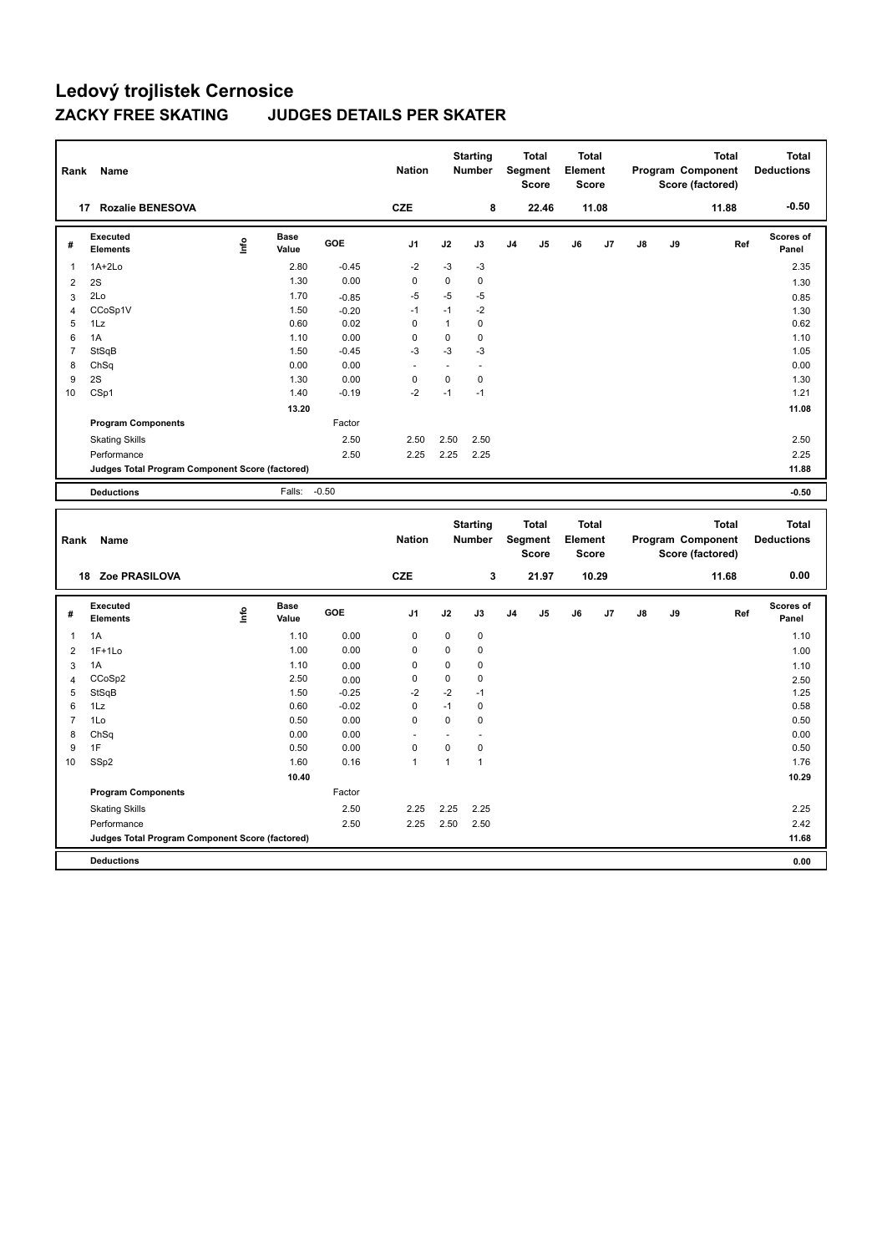| Rank           | Name                                            |      |                      |            | <b>Nation</b> |              | <b>Starting</b><br>Number        | Segment        | <b>Total</b><br><b>Score</b> | <b>Total</b><br>Element<br><b>Score</b> |    |    |    | <b>Total</b><br>Program Component<br>Score (factored) | <b>Total</b><br><b>Deductions</b> |
|----------------|-------------------------------------------------|------|----------------------|------------|---------------|--------------|----------------------------------|----------------|------------------------------|-----------------------------------------|----|----|----|-------------------------------------------------------|-----------------------------------|
| 17             | <b>Rozalie BENESOVA</b>                         |      |                      |            | <b>CZE</b>    |              | 8                                |                | 22.46                        | 11.08                                   |    |    |    | 11.88                                                 | $-0.50$                           |
| #              | Executed<br><b>Elements</b>                     | ١nf٥ | <b>Base</b><br>Value | <b>GOE</b> | J1            | J2           | J3                               | J <sub>4</sub> | J5                           | J6                                      | J7 | J8 | J9 | Ref                                                   | <b>Scores of</b><br>Panel         |
| $\overline{1}$ | $1A+2Lo$                                        |      | 2.80                 | $-0.45$    | $-2$          | $-3$         | $-3$                             |                |                              |                                         |    |    |    |                                                       | 2.35                              |
| 2              | 2S                                              |      | 1.30                 | 0.00       | 0             | 0            | 0                                |                |                              |                                         |    |    |    |                                                       | 1.30                              |
| 3              | 2Lo                                             |      | 1.70                 | $-0.85$    | -5            | -5           | $-5$                             |                |                              |                                         |    |    |    |                                                       | 0.85                              |
| 4              | CCoSp1V                                         |      | 1.50                 | $-0.20$    | $-1$          | $-1$         | $-2$                             |                |                              |                                         |    |    |    |                                                       | 1.30                              |
| 5              | 1Lz                                             |      | 0.60                 | 0.02       | $\mathbf 0$   | $\mathbf{1}$ | 0                                |                |                              |                                         |    |    |    |                                                       | 0.62                              |
| 6              | 1A                                              |      | 1.10                 | 0.00       | $\mathbf 0$   | $\mathbf 0$  | 0                                |                |                              |                                         |    |    |    |                                                       | 1.10                              |
| $\overline{7}$ | StSqB                                           |      | 1.50                 | $-0.45$    | $-3$          | $-3$         | $-3$                             |                |                              |                                         |    |    |    |                                                       | 1.05                              |
| 8              | ChSq                                            |      | 0.00                 | 0.00       | ٠             |              | $\blacksquare$                   |                |                              |                                         |    |    |    |                                                       | 0.00                              |
| 9              | 2S                                              |      | 1.30                 | 0.00       | $\mathbf 0$   | $\mathbf 0$  | 0                                |                |                              |                                         |    |    |    |                                                       | 1.30                              |
| 10             | CSp1                                            |      | 1.40                 | $-0.19$    | $-2$          | $-1$         | $-1$                             |                |                              |                                         |    |    |    |                                                       | 1.21                              |
|                |                                                 |      | 13.20                |            |               |              |                                  |                |                              |                                         |    |    |    |                                                       | 11.08                             |
|                | <b>Program Components</b>                       |      |                      | Factor     |               |              |                                  |                |                              |                                         |    |    |    |                                                       |                                   |
|                | <b>Skating Skills</b>                           |      |                      | 2.50       | 2.50          | 2.50         | 2.50                             |                |                              |                                         |    |    |    |                                                       | 2.50                              |
|                | Performance                                     |      |                      | 2.50       | 2.25          | 2.25         | 2.25                             |                |                              |                                         |    |    |    |                                                       | 2.25                              |
|                | Judges Total Program Component Score (factored) |      |                      |            |               |              |                                  |                |                              |                                         |    |    |    |                                                       | 11.88                             |
|                | <b>Deductions</b>                               |      | Falls:               | $-0.50$    |               |              |                                  |                |                              |                                         |    |    |    |                                                       | $-0.50$                           |
| Rank           | <b>Name</b>                                     |      |                      |            | <b>Nation</b> |              | <b>Starting</b><br><b>Number</b> | Segment        | <b>Total</b><br><b>Score</b> | <b>Total</b><br>Element<br><b>Score</b> |    |    |    | <b>Total</b><br>Program Component<br>Score (factored) | <b>Total</b><br><b>Deductions</b> |

|                |                                                 |      |                      |         |             |                |             |                | Score          | <b>Score</b> |       |               |    | Score (factored) |                    |
|----------------|-------------------------------------------------|------|----------------------|---------|-------------|----------------|-------------|----------------|----------------|--------------|-------|---------------|----|------------------|--------------------|
|                | Zoe PRASILOVA<br>18                             |      |                      |         | <b>CZE</b>  |                | 3           |                | 21.97          |              | 10.29 |               |    | 11.68            | 0.00               |
| #              | Executed<br><b>Elements</b>                     | ١nfo | <b>Base</b><br>Value | GOE     | J1          | J2             | J3          | J <sub>4</sub> | J <sub>5</sub> | J6           | J7    | $\mathsf{J}8$ | J9 | Ref              | Scores of<br>Panel |
| 1              | 1A                                              |      | 1.10                 | 0.00    | $\mathbf 0$ | $\mathbf 0$    | $\mathbf 0$ |                |                |              |       |               |    |                  | 1.10               |
| 2              | $1F+1Lo$                                        |      | 1.00                 | 0.00    | 0           | 0              | 0           |                |                |              |       |               |    |                  | 1.00               |
| 3              | 1A                                              |      | 1.10                 | 0.00    | 0           | 0              | 0           |                |                |              |       |               |    |                  | 1.10               |
| 4              | CCoSp2                                          |      | 2.50                 | 0.00    | 0           | 0              | 0           |                |                |              |       |               |    |                  | 2.50               |
| 5              | StSqB                                           |      | 1.50                 | $-0.25$ | $-2$        | $-2$           | $-1$        |                |                |              |       |               |    |                  | 1.25               |
| 6              | 1Lz                                             |      | 0.60                 | $-0.02$ | 0           | $-1$           | 0           |                |                |              |       |               |    |                  | 0.58               |
| $\overline{7}$ | 1Lo                                             |      | 0.50                 | 0.00    | 0           | $\mathbf 0$    | $\mathbf 0$ |                |                |              |       |               |    |                  | 0.50               |
| 8              | ChSq                                            |      | 0.00                 | 0.00    |             |                |             |                |                |              |       |               |    |                  | 0.00               |
| 9              | 1F                                              |      | 0.50                 | 0.00    | 0           | 0              | 0           |                |                |              |       |               |    |                  | 0.50               |
| 10             | SSp2                                            |      | 1.60                 | 0.16    | 1           | $\overline{1}$ |             |                |                |              |       |               |    |                  | 1.76               |
|                |                                                 |      | 10.40                |         |             |                |             |                |                |              |       |               |    |                  | 10.29              |
|                | <b>Program Components</b>                       |      |                      | Factor  |             |                |             |                |                |              |       |               |    |                  |                    |
|                | <b>Skating Skills</b>                           |      |                      | 2.50    | 2.25        | 2.25           | 2.25        |                |                |              |       |               |    |                  | 2.25               |
|                | Performance                                     |      |                      | 2.50    | 2.25        | 2.50           | 2.50        |                |                |              |       |               |    |                  | 2.42               |
|                | Judges Total Program Component Score (factored) |      |                      |         |             |                |             |                |                |              |       |               |    |                  | 11.68              |
|                | <b>Deductions</b>                               |      |                      |         |             |                |             |                |                |              |       |               |    |                  | 0.00               |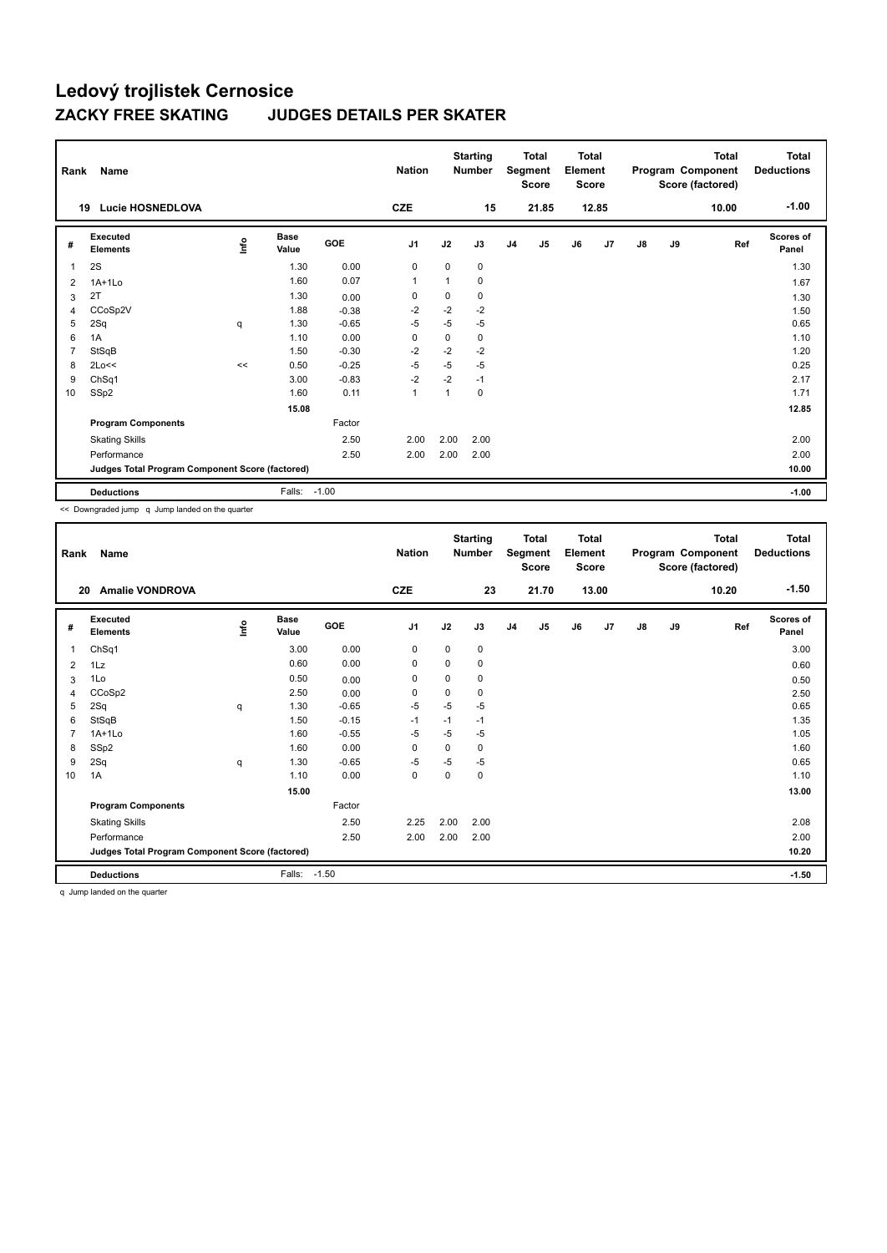| Rank | Name                                            |    |                      |         | <b>Nation</b>  |      | <b>Starting</b><br><b>Number</b> |                | <b>Total</b><br>Segment<br><b>Score</b> | <b>Total</b><br>Element<br><b>Score</b> |       |               |    | Total<br>Program Component<br>Score (factored) | <b>Total</b><br><b>Deductions</b> |
|------|-------------------------------------------------|----|----------------------|---------|----------------|------|----------------------------------|----------------|-----------------------------------------|-----------------------------------------|-------|---------------|----|------------------------------------------------|-----------------------------------|
|      | <b>Lucie HOSNEDLOVA</b><br>19                   |    |                      |         | <b>CZE</b>     |      | 15                               |                | 21.85                                   |                                         | 12.85 |               |    | 10.00                                          | $-1.00$                           |
| #    | Executed<br><b>Elements</b>                     | ۴ů | <b>Base</b><br>Value | GOE     | J <sub>1</sub> | J2   | J3                               | J <sub>4</sub> | J5                                      | J6                                      | J7    | $\mathsf{J}8$ | J9 | Ref                                            | <b>Scores of</b><br>Panel         |
| 1    | 2S                                              |    | 1.30                 | 0.00    | 0              | 0    | 0                                |                |                                         |                                         |       |               |    |                                                | 1.30                              |
| 2    | $1A+1Lo$                                        |    | 1.60                 | 0.07    | $\mathbf{1}$   | 1    | 0                                |                |                                         |                                         |       |               |    |                                                | 1.67                              |
| 3    | 2T                                              |    | 1.30                 | 0.00    | 0              | 0    | 0                                |                |                                         |                                         |       |               |    |                                                | 1.30                              |
| 4    | CCoSp2V                                         |    | 1.88                 | $-0.38$ | $-2$           | $-2$ | $-2$                             |                |                                         |                                         |       |               |    |                                                | 1.50                              |
| 5    | 2Sq                                             | q  | 1.30                 | $-0.65$ | -5             | $-5$ | $-5$                             |                |                                         |                                         |       |               |    |                                                | 0.65                              |
| 6    | 1A                                              |    | 1.10                 | 0.00    | 0              | 0    | 0                                |                |                                         |                                         |       |               |    |                                                | 1.10                              |
| 7    | StSqB                                           |    | 1.50                 | $-0.30$ | $-2$           | $-2$ | $-2$                             |                |                                         |                                         |       |               |    |                                                | 1.20                              |
| 8    | 2Lo<<                                           | << | 0.50                 | $-0.25$ | $-5$           | $-5$ | $-5$                             |                |                                         |                                         |       |               |    |                                                | 0.25                              |
| 9    | ChSq1                                           |    | 3.00                 | $-0.83$ | $-2$           | $-2$ | $-1$                             |                |                                         |                                         |       |               |    |                                                | 2.17                              |
| 10   | SS <sub>p2</sub>                                |    | 1.60                 | 0.11    | $\mathbf{1}$   | 1    | 0                                |                |                                         |                                         |       |               |    |                                                | 1.71                              |
|      |                                                 |    | 15.08                |         |                |      |                                  |                |                                         |                                         |       |               |    |                                                | 12.85                             |
|      | <b>Program Components</b>                       |    |                      | Factor  |                |      |                                  |                |                                         |                                         |       |               |    |                                                |                                   |
|      | <b>Skating Skills</b>                           |    |                      | 2.50    | 2.00           | 2.00 | 2.00                             |                |                                         |                                         |       |               |    |                                                | 2.00                              |
|      | Performance                                     |    |                      | 2.50    | 2.00           | 2.00 | 2.00                             |                |                                         |                                         |       |               |    |                                                | 2.00                              |
|      | Judges Total Program Component Score (factored) |    |                      |         |                |      |                                  |                |                                         |                                         |       |               |    |                                                | 10.00                             |
|      | <b>Deductions</b>                               |    | Falls:               | $-1.00$ |                |      |                                  |                |                                         |                                         |       |               |    |                                                | $-1.00$                           |

<< Downgraded jump q Jump landed on the quarter

| Rank           | Name                                            |      |                      |            | <b>Nation</b> |      | <b>Starting</b><br><b>Number</b> |                | <b>Total</b><br>Segment<br><b>Score</b> | <b>Total</b><br>Element<br><b>Score</b> |       |               |    | <b>Total</b><br>Program Component<br>Score (factored) | <b>Total</b><br><b>Deductions</b> |
|----------------|-------------------------------------------------|------|----------------------|------------|---------------|------|----------------------------------|----------------|-----------------------------------------|-----------------------------------------|-------|---------------|----|-------------------------------------------------------|-----------------------------------|
| 20             | <b>Amalie VONDROVA</b>                          |      |                      |            | <b>CZE</b>    |      | 23                               |                | 21.70                                   |                                         | 13.00 |               |    | 10.20                                                 | $-1.50$                           |
| #              | Executed<br><b>Elements</b>                     | ١nfo | <b>Base</b><br>Value | <b>GOE</b> | J1            | J2   | J3                               | J <sub>4</sub> | J <sub>5</sub>                          | J6                                      | J7    | $\mathsf{J}8$ | J9 | Ref                                                   | Scores of<br>Panel                |
| 1              | ChSq1                                           |      | 3.00                 | 0.00       | 0             | 0    | 0                                |                |                                         |                                         |       |               |    |                                                       | 3.00                              |
| 2              | 1Lz                                             |      | 0.60                 | 0.00       | 0             | 0    | 0                                |                |                                         |                                         |       |               |    |                                                       | 0.60                              |
| 3              | 1Lo                                             |      | 0.50                 | 0.00       | 0             | 0    | 0                                |                |                                         |                                         |       |               |    |                                                       | 0.50                              |
| 4              | CCoSp2                                          |      | 2.50                 | 0.00       | 0             | 0    | 0                                |                |                                         |                                         |       |               |    |                                                       | 2.50                              |
| 5              | 2Sq                                             | q    | 1.30                 | $-0.65$    | $-5$          | $-5$ | $-5$                             |                |                                         |                                         |       |               |    |                                                       | 0.65                              |
| 6              | StSqB                                           |      | 1.50                 | $-0.15$    | $-1$          | $-1$ | $-1$                             |                |                                         |                                         |       |               |    |                                                       | 1.35                              |
| $\overline{7}$ | $1A+1Lo$                                        |      | 1.60                 | $-0.55$    | $-5$          | $-5$ | $-5$                             |                |                                         |                                         |       |               |    |                                                       | 1.05                              |
| 8              | SSp2                                            |      | 1.60                 | 0.00       | 0             | 0    | 0                                |                |                                         |                                         |       |               |    |                                                       | 1.60                              |
| 9              | 2Sq                                             | q    | 1.30                 | $-0.65$    | $-5$          | $-5$ | $-5$                             |                |                                         |                                         |       |               |    |                                                       | 0.65                              |
| 10             | 1A                                              |      | 1.10                 | 0.00       | $\mathbf 0$   | 0    | 0                                |                |                                         |                                         |       |               |    |                                                       | 1.10                              |
|                |                                                 |      | 15.00                |            |               |      |                                  |                |                                         |                                         |       |               |    |                                                       | 13.00                             |
|                | <b>Program Components</b>                       |      |                      | Factor     |               |      |                                  |                |                                         |                                         |       |               |    |                                                       |                                   |
|                | <b>Skating Skills</b>                           |      |                      | 2.50       | 2.25          | 2.00 | 2.00                             |                |                                         |                                         |       |               |    |                                                       | 2.08                              |
|                | Performance                                     |      |                      | 2.50       | 2.00          | 2.00 | 2.00                             |                |                                         |                                         |       |               |    |                                                       | 2.00                              |
|                | Judges Total Program Component Score (factored) |      |                      |            |               |      |                                  |                |                                         |                                         |       |               |    |                                                       | 10.20                             |
|                | <b>Deductions</b>                               |      | Falls: -1.50         |            |               |      |                                  |                |                                         |                                         |       |               |    |                                                       | $-1.50$                           |

q Jump landed on the quarter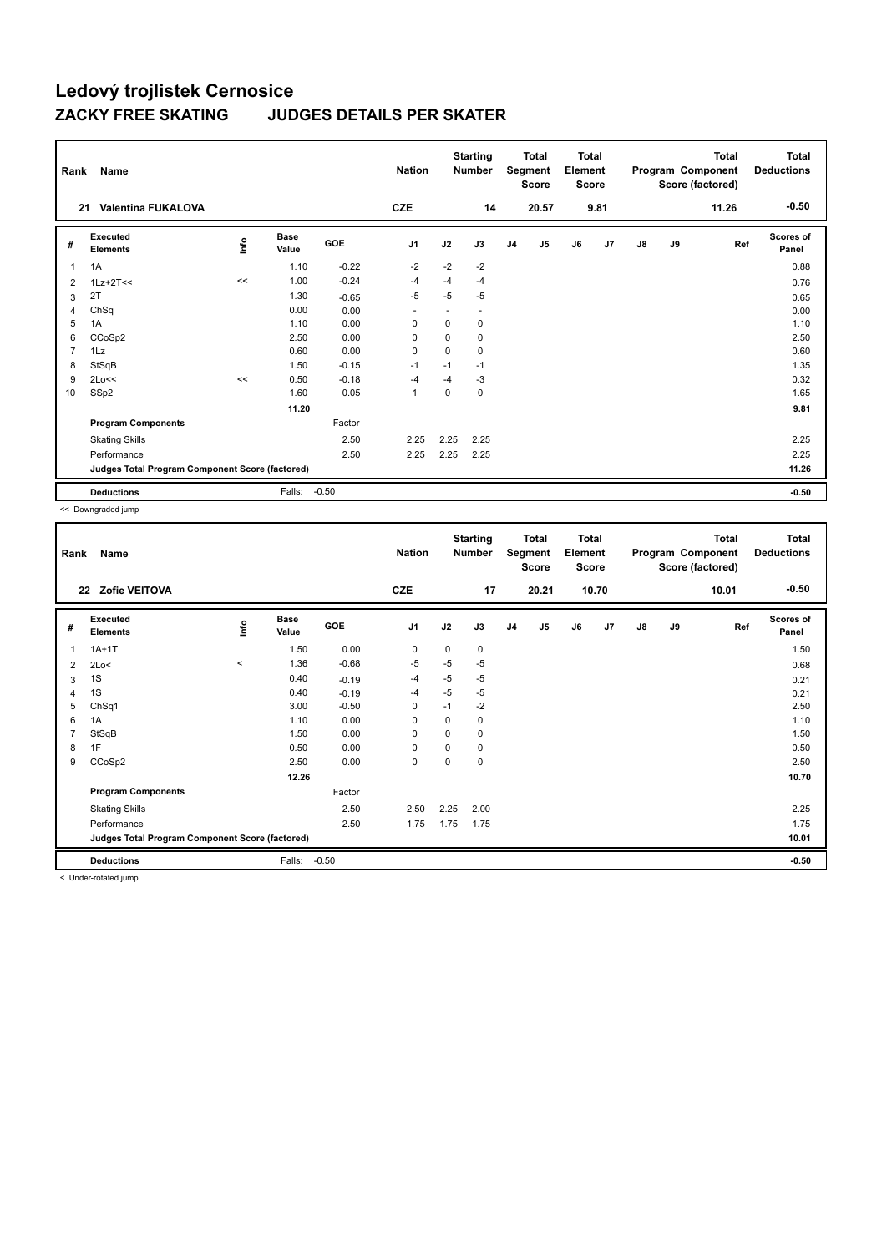| Rank           | Name                                            |       |                      |         | <b>Nation</b>  |      | <b>Starting</b><br><b>Number</b> |                | <b>Total</b><br>Segment<br><b>Score</b> | <b>Total</b><br>Element<br>Score |      |               |    | Total<br>Program Component<br>Score (factored) | <b>Total</b><br><b>Deductions</b> |
|----------------|-------------------------------------------------|-------|----------------------|---------|----------------|------|----------------------------------|----------------|-----------------------------------------|----------------------------------|------|---------------|----|------------------------------------------------|-----------------------------------|
|                | <b>Valentina FUKALOVA</b><br>21                 |       |                      |         | <b>CZE</b>     |      | 14                               |                | 20.57                                   |                                  | 9.81 |               |    | 11.26                                          | $-0.50$                           |
| #              | Executed<br><b>Elements</b>                     | ۴ů    | <b>Base</b><br>Value | GOE     | J <sub>1</sub> | J2   | J3                               | J <sub>4</sub> | J5                                      | J6                               | J7   | $\mathsf{J}8$ | J9 | Ref                                            | <b>Scores of</b><br>Panel         |
| 1              | 1A                                              |       | 1.10                 | $-0.22$ | $-2$           | $-2$ | $-2$                             |                |                                         |                                  |      |               |    |                                                | 0.88                              |
| 2              | $1Lz+2T<<$                                      | <<    | 1.00                 | $-0.24$ | $-4$           | $-4$ | $-4$                             |                |                                         |                                  |      |               |    |                                                | 0.76                              |
| 3              | 2T                                              |       | 1.30                 | $-0.65$ | $-5$           | $-5$ | $-5$                             |                |                                         |                                  |      |               |    |                                                | 0.65                              |
| 4              | ChSq                                            |       | 0.00                 | 0.00    | ٠              |      |                                  |                |                                         |                                  |      |               |    |                                                | 0.00                              |
| 5              | 1A                                              |       | 1.10                 | 0.00    | 0              | 0    | 0                                |                |                                         |                                  |      |               |    |                                                | 1.10                              |
| 6              | CCoSp2                                          |       | 2.50                 | 0.00    | 0              | 0    | 0                                |                |                                         |                                  |      |               |    |                                                | 2.50                              |
| $\overline{7}$ | 1Lz                                             |       | 0.60                 | 0.00    | 0              | 0    | 0                                |                |                                         |                                  |      |               |    |                                                | 0.60                              |
| 8              | StSqB                                           |       | 1.50                 | $-0.15$ | $-1$           | $-1$ | $-1$                             |                |                                         |                                  |      |               |    |                                                | 1.35                              |
| 9              | 2Lo<<                                           | $\,<$ | 0.50                 | $-0.18$ | $-4$           | $-4$ | $-3$                             |                |                                         |                                  |      |               |    |                                                | 0.32                              |
| 10             | SS <sub>p2</sub>                                |       | 1.60                 | 0.05    | $\mathbf{1}$   | 0    | 0                                |                |                                         |                                  |      |               |    |                                                | 1.65                              |
|                |                                                 |       | 11.20                |         |                |      |                                  |                |                                         |                                  |      |               |    |                                                | 9.81                              |
|                | <b>Program Components</b>                       |       |                      | Factor  |                |      |                                  |                |                                         |                                  |      |               |    |                                                |                                   |
|                | <b>Skating Skills</b>                           |       |                      | 2.50    | 2.25           | 2.25 | 2.25                             |                |                                         |                                  |      |               |    |                                                | 2.25                              |
|                | Performance                                     |       |                      | 2.50    | 2.25           | 2.25 | 2.25                             |                |                                         |                                  |      |               |    |                                                | 2.25                              |
|                | Judges Total Program Component Score (factored) |       |                      |         |                |      |                                  |                |                                         |                                  |      |               |    |                                                | 11.26                             |
|                | <b>Deductions</b>                               |       | Falls:               | $-0.50$ |                |      |                                  |                |                                         |                                  |      |               |    |                                                | $-0.50$                           |

<< Downgraded jump

| Rank           | Name                                            |          |                      |            | <b>Nation</b>  |          | <b>Starting</b><br><b>Number</b> |                | <b>Total</b><br>Segment<br><b>Score</b> | <b>Total</b><br>Element<br><b>Score</b> |                |               |    | <b>Total</b><br>Program Component<br>Score (factored) | <b>Total</b><br><b>Deductions</b> |
|----------------|-------------------------------------------------|----------|----------------------|------------|----------------|----------|----------------------------------|----------------|-----------------------------------------|-----------------------------------------|----------------|---------------|----|-------------------------------------------------------|-----------------------------------|
|                | Zofie VEITOVA<br>22                             |          |                      |            | <b>CZE</b>     |          | 17                               |                | 20.21                                   |                                         | 10.70          |               |    | 10.01                                                 | $-0.50$                           |
| #              | Executed<br><b>Elements</b>                     | lnfo     | <b>Base</b><br>Value | <b>GOE</b> | J <sub>1</sub> | J2       | J3                               | J <sub>4</sub> | J5                                      | J6                                      | J <sub>7</sub> | $\mathsf{J}8$ | J9 | Ref                                                   | <b>Scores of</b><br>Panel         |
| 1              | $1A+1T$                                         |          | 1.50                 | 0.00       | 0              | 0        | 0                                |                |                                         |                                         |                |               |    |                                                       | 1.50                              |
| 2              | 2Lo<                                            | $\hat{}$ | 1.36                 | $-0.68$    | -5             | $-5$     | $-5$                             |                |                                         |                                         |                |               |    |                                                       | 0.68                              |
| 3              | 1S                                              |          | 0.40                 | $-0.19$    | $-4$           | $-5$     | $-5$                             |                |                                         |                                         |                |               |    |                                                       | 0.21                              |
| 4              | 1S                                              |          | 0.40                 | $-0.19$    | -4             | $-5$     | $-5$                             |                |                                         |                                         |                |               |    |                                                       | 0.21                              |
| 5              | ChSq1                                           |          | 3.00                 | $-0.50$    | 0              | $-1$     | $-2$                             |                |                                         |                                         |                |               |    |                                                       | 2.50                              |
| 6              | 1A                                              |          | 1.10                 | 0.00       | 0              | 0        | 0                                |                |                                         |                                         |                |               |    |                                                       | 1.10                              |
| $\overline{7}$ | StSqB                                           |          | 1.50                 | 0.00       | 0              | $\Omega$ | 0                                |                |                                         |                                         |                |               |    |                                                       | 1.50                              |
| 8              | 1F                                              |          | 0.50                 | 0.00       | 0              | 0        | 0                                |                |                                         |                                         |                |               |    |                                                       | 0.50                              |
| 9              | CCoSp2                                          |          | 2.50                 | 0.00       | $\pmb{0}$      | 0        | 0                                |                |                                         |                                         |                |               |    |                                                       | 2.50                              |
|                |                                                 |          | 12.26                |            |                |          |                                  |                |                                         |                                         |                |               |    |                                                       | 10.70                             |
|                | <b>Program Components</b>                       |          |                      | Factor     |                |          |                                  |                |                                         |                                         |                |               |    |                                                       |                                   |
|                | <b>Skating Skills</b>                           |          |                      | 2.50       | 2.50           | 2.25     | 2.00                             |                |                                         |                                         |                |               |    |                                                       | 2.25                              |
|                | Performance                                     |          |                      | 2.50       | 1.75           | 1.75     | 1.75                             |                |                                         |                                         |                |               |    |                                                       | 1.75                              |
|                | Judges Total Program Component Score (factored) |          |                      |            |                |          |                                  |                |                                         |                                         |                |               |    |                                                       | 10.01                             |
|                | <b>Deductions</b>                               |          | Falls:               | $-0.50$    |                |          |                                  |                |                                         |                                         |                |               |    |                                                       | $-0.50$                           |
|                | < I Inder-rotated jumn                          |          |                      |            |                |          |                                  |                |                                         |                                         |                |               |    |                                                       |                                   |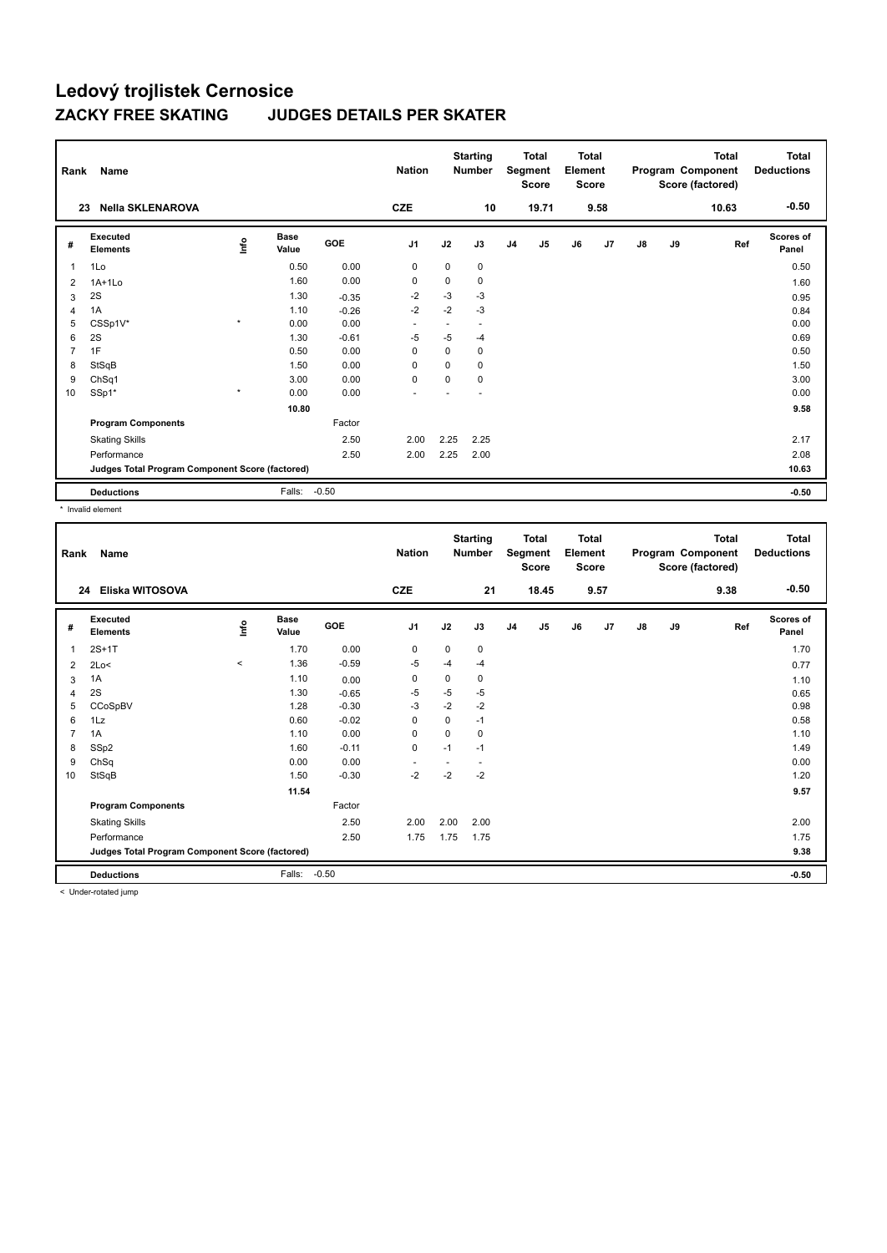| Rank           | Name                                            |         |                      |         | <b>Nation</b>  |          | <b>Starting</b><br><b>Number</b> |                | <b>Total</b><br>Segment<br><b>Score</b> | <b>Total</b><br>Element<br><b>Score</b> |      |               |    | Total<br>Program Component<br>Score (factored) | <b>Total</b><br><b>Deductions</b> |
|----------------|-------------------------------------------------|---------|----------------------|---------|----------------|----------|----------------------------------|----------------|-----------------------------------------|-----------------------------------------|------|---------------|----|------------------------------------------------|-----------------------------------|
|                | <b>Nella SKLENAROVA</b><br>23                   |         |                      |         | <b>CZE</b>     |          | 10                               |                | 19.71                                   |                                         | 9.58 |               |    | 10.63                                          | $-0.50$                           |
| #              | Executed<br><b>Elements</b>                     | ۴ů      | <b>Base</b><br>Value | GOE     | J <sub>1</sub> | J2       | J3                               | J <sub>4</sub> | J5                                      | J6                                      | J7   | $\mathsf{J}8$ | J9 | Ref                                            | <b>Scores of</b><br>Panel         |
| $\overline{1}$ | 1Lo                                             |         | 0.50                 | 0.00    | 0              | 0        | 0                                |                |                                         |                                         |      |               |    |                                                | 0.50                              |
| 2              | $1A+1Lo$                                        |         | 1.60                 | 0.00    | $\mathbf 0$    | 0        | 0                                |                |                                         |                                         |      |               |    |                                                | 1.60                              |
| 3              | 2S                                              |         | 1.30                 | $-0.35$ | $-2$           | $-3$     | $-3$                             |                |                                         |                                         |      |               |    |                                                | 0.95                              |
| $\overline{4}$ | 1A                                              |         | 1.10                 | $-0.26$ | $-2$           | $-2$     | $-3$                             |                |                                         |                                         |      |               |    |                                                | 0.84                              |
| 5              | CSSp1V*                                         | $\star$ | 0.00                 | 0.00    | ٠              | ٠        | $\overline{a}$                   |                |                                         |                                         |      |               |    |                                                | 0.00                              |
| 6              | 2S                                              |         | 1.30                 | $-0.61$ | -5             | -5       | $-4$                             |                |                                         |                                         |      |               |    |                                                | 0.69                              |
| $\overline{7}$ | 1F                                              |         | 0.50                 | 0.00    | 0              | 0        | 0                                |                |                                         |                                         |      |               |    |                                                | 0.50                              |
| 8              | StSqB                                           |         | 1.50                 | 0.00    | 0              | 0        | 0                                |                |                                         |                                         |      |               |    |                                                | 1.50                              |
| 9              | ChSq1                                           |         | 3.00                 | 0.00    | $\mathbf 0$    | $\Omega$ | 0                                |                |                                         |                                         |      |               |    |                                                | 3.00                              |
| 10             | SSp1*                                           | $\star$ | 0.00                 | 0.00    |                |          |                                  |                |                                         |                                         |      |               |    |                                                | 0.00                              |
|                |                                                 |         | 10.80                |         |                |          |                                  |                |                                         |                                         |      |               |    |                                                | 9.58                              |
|                | <b>Program Components</b>                       |         |                      | Factor  |                |          |                                  |                |                                         |                                         |      |               |    |                                                |                                   |
|                | <b>Skating Skills</b>                           |         |                      | 2.50    | 2.00           | 2.25     | 2.25                             |                |                                         |                                         |      |               |    |                                                | 2.17                              |
|                | Performance                                     |         |                      | 2.50    | 2.00           | 2.25     | 2.00                             |                |                                         |                                         |      |               |    |                                                | 2.08                              |
|                | Judges Total Program Component Score (factored) |         |                      |         |                |          |                                  |                |                                         |                                         |      |               |    |                                                | 10.63                             |
|                | <b>Deductions</b>                               |         | Falls:               | $-0.50$ |                |          |                                  |                |                                         |                                         |      |               |    |                                                | $-0.50$                           |

\* Invalid element

| Rank           | <b>Name</b>                                     |         |                      |         | <b>Nation</b>  |             | <b>Starting</b><br><b>Number</b> |                | <b>Total</b><br>Segment<br><b>Score</b> | <b>Total</b><br>Element<br><b>Score</b> |      |    |    | <b>Total</b><br>Program Component<br>Score (factored) | <b>Total</b><br><b>Deductions</b> |
|----------------|-------------------------------------------------|---------|----------------------|---------|----------------|-------------|----------------------------------|----------------|-----------------------------------------|-----------------------------------------|------|----|----|-------------------------------------------------------|-----------------------------------|
|                | Eliska WITOSOVA<br>24                           |         |                      |         | <b>CZE</b>     |             | 21                               |                | 18.45                                   |                                         | 9.57 |    |    | 9.38                                                  | $-0.50$                           |
| #              | Executed<br><b>Elements</b>                     | ١nfo    | <b>Base</b><br>Value | GOE     | J <sub>1</sub> | J2          | J3                               | J <sub>4</sub> | J5                                      | J6                                      | J7   | J8 | J9 | Ref                                                   | <b>Scores of</b><br>Panel         |
| 1              | $2S+1T$                                         |         | 1.70                 | 0.00    | 0              | 0           | 0                                |                |                                         |                                         |      |    |    |                                                       | 1.70                              |
| 2              | 2Lo<                                            | $\,<\,$ | 1.36                 | $-0.59$ | $-5$           | $-4$        | $-4$                             |                |                                         |                                         |      |    |    |                                                       | 0.77                              |
| 3              | 1A                                              |         | 1.10                 | 0.00    | 0              | 0           | 0                                |                |                                         |                                         |      |    |    |                                                       | 1.10                              |
| $\overline{4}$ | 2S                                              |         | 1.30                 | $-0.65$ | $-5$           | $-5$        | $-5$                             |                |                                         |                                         |      |    |    |                                                       | 0.65                              |
| 5              | CCoSpBV                                         |         | 1.28                 | $-0.30$ | $-3$           | $-2$        | $-2$                             |                |                                         |                                         |      |    |    |                                                       | 0.98                              |
| 6              | 1Lz                                             |         | 0.60                 | $-0.02$ | $\mathbf 0$    | $\mathbf 0$ | $-1$                             |                |                                         |                                         |      |    |    |                                                       | 0.58                              |
| $\overline{7}$ | 1A                                              |         | 1.10                 | 0.00    | 0              | $\mathbf 0$ | 0                                |                |                                         |                                         |      |    |    |                                                       | 1.10                              |
| 8              | SSp2                                            |         | 1.60                 | $-0.11$ | $\pmb{0}$      | $-1$        | $-1$                             |                |                                         |                                         |      |    |    |                                                       | 1.49                              |
| 9              | ChSq                                            |         | 0.00                 | 0.00    |                |             | $\overline{a}$                   |                |                                         |                                         |      |    |    |                                                       | 0.00                              |
| 10             | StSqB                                           |         | 1.50                 | $-0.30$ | $-2$           | $-2$        | $-2$                             |                |                                         |                                         |      |    |    |                                                       | 1.20                              |
|                |                                                 |         | 11.54                |         |                |             |                                  |                |                                         |                                         |      |    |    |                                                       | 9.57                              |
|                | <b>Program Components</b>                       |         |                      | Factor  |                |             |                                  |                |                                         |                                         |      |    |    |                                                       |                                   |
|                | <b>Skating Skills</b>                           |         |                      | 2.50    | 2.00           | 2.00        | 2.00                             |                |                                         |                                         |      |    |    |                                                       | 2.00                              |
|                | Performance                                     |         |                      | 2.50    | 1.75           | 1.75        | 1.75                             |                |                                         |                                         |      |    |    |                                                       | 1.75                              |
|                | Judges Total Program Component Score (factored) |         |                      |         |                |             |                                  |                |                                         |                                         |      |    |    |                                                       | 9.38                              |
|                | <b>Deductions</b>                               |         | Falls:               | $-0.50$ |                |             |                                  |                |                                         |                                         |      |    |    |                                                       | $-0.50$                           |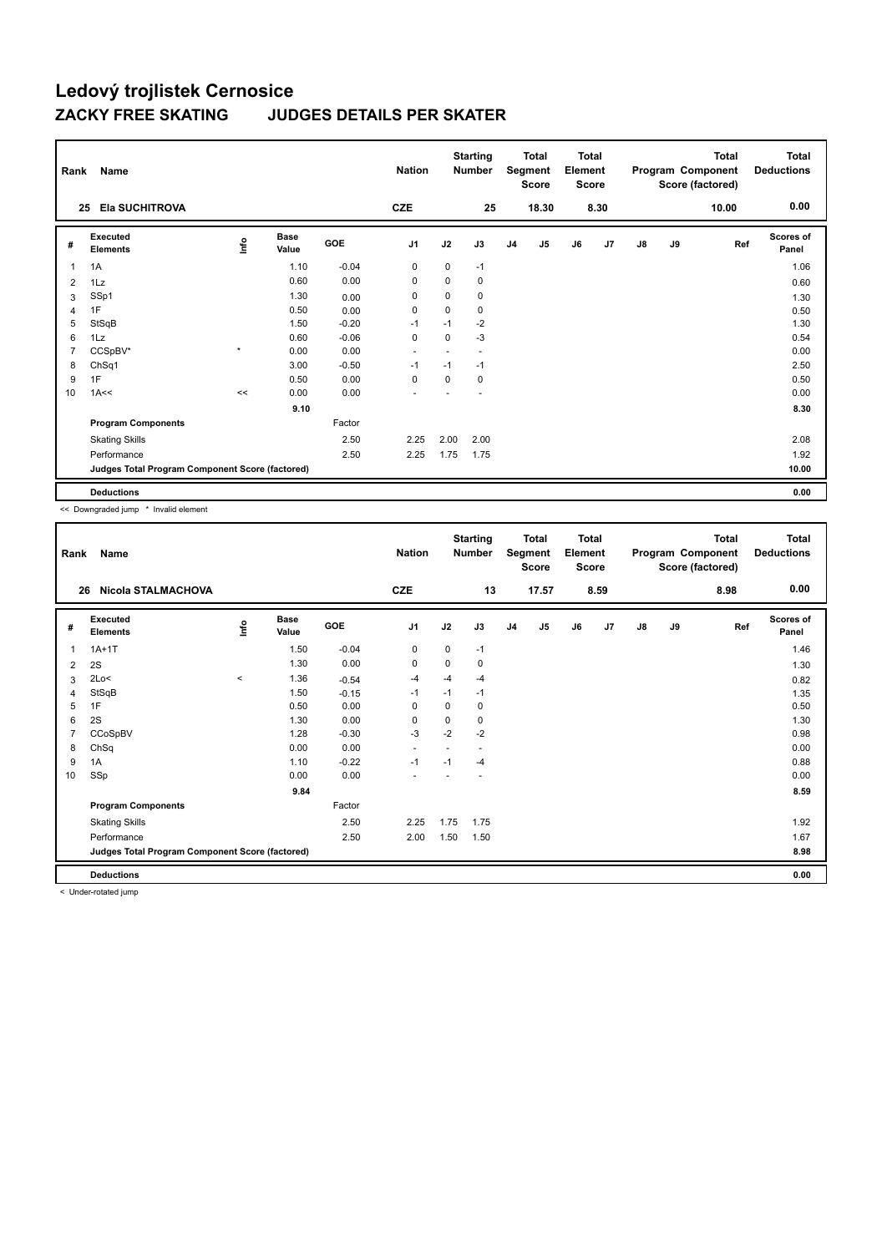| Rank           | Name                                            |         |                      |         | <b>Nation</b>            |          | <b>Starting</b><br><b>Number</b> |                | <b>Total</b><br>Segment<br><b>Score</b> | <b>Total</b><br>Element<br><b>Score</b> |      |               |    | Total<br>Program Component<br>Score (factored) | <b>Total</b><br><b>Deductions</b> |
|----------------|-------------------------------------------------|---------|----------------------|---------|--------------------------|----------|----------------------------------|----------------|-----------------------------------------|-----------------------------------------|------|---------------|----|------------------------------------------------|-----------------------------------|
| 25             | <b>Ela SUCHITROVA</b>                           |         |                      |         | <b>CZE</b>               |          | 25                               |                | 18.30                                   |                                         | 8.30 |               |    | 10.00                                          | 0.00                              |
| #              | Executed<br><b>Elements</b>                     | Lnfo    | <b>Base</b><br>Value | GOE     | J <sub>1</sub>           | J2       | J3                               | J <sub>4</sub> | J5                                      | J6                                      | J7   | $\mathsf{J}8$ | J9 | Ref                                            | <b>Scores of</b><br>Panel         |
| 1              | 1A                                              |         | 1.10                 | $-0.04$ | $\mathbf 0$              | 0        | $-1$                             |                |                                         |                                         |      |               |    |                                                | 1.06                              |
| 2              | 1Lz                                             |         | 0.60                 | 0.00    | 0                        | $\Omega$ | 0                                |                |                                         |                                         |      |               |    |                                                | 0.60                              |
| 3              | SSp1                                            |         | 1.30                 | 0.00    | 0                        | 0        | 0                                |                |                                         |                                         |      |               |    |                                                | 1.30                              |
| $\overline{4}$ | 1F                                              |         | 0.50                 | 0.00    | 0                        | $\Omega$ | 0                                |                |                                         |                                         |      |               |    |                                                | 0.50                              |
| 5              | StSqB                                           |         | 1.50                 | $-0.20$ | $-1$                     | $-1$     | $-2$                             |                |                                         |                                         |      |               |    |                                                | 1.30                              |
| 6              | 1Lz                                             |         | 0.60                 | $-0.06$ | $\mathbf 0$              | 0        | $-3$                             |                |                                         |                                         |      |               |    |                                                | 0.54                              |
| 7              | CCSpBV*                                         | $\star$ | 0.00                 | 0.00    | $\blacksquare$           |          | $\overline{\phantom{a}}$         |                |                                         |                                         |      |               |    |                                                | 0.00                              |
| 8              | ChSq1                                           |         | 3.00                 | $-0.50$ | $-1$                     | $-1$     | $-1$                             |                |                                         |                                         |      |               |    |                                                | 2.50                              |
| 9              | 1F                                              |         | 0.50                 | 0.00    | $\mathbf 0$              | 0        | 0                                |                |                                         |                                         |      |               |    |                                                | 0.50                              |
| 10             | 1A<<                                            | <<      | 0.00                 | 0.00    | $\overline{\phantom{a}}$ |          |                                  |                |                                         |                                         |      |               |    |                                                | 0.00                              |
|                |                                                 |         | 9.10                 |         |                          |          |                                  |                |                                         |                                         |      |               |    |                                                | 8.30                              |
|                | <b>Program Components</b>                       |         |                      | Factor  |                          |          |                                  |                |                                         |                                         |      |               |    |                                                |                                   |
|                | <b>Skating Skills</b>                           |         |                      | 2.50    | 2.25                     | 2.00     | 2.00                             |                |                                         |                                         |      |               |    |                                                | 2.08                              |
|                | Performance                                     |         |                      | 2.50    | 2.25                     | 1.75     | 1.75                             |                |                                         |                                         |      |               |    |                                                | 1.92                              |
|                | Judges Total Program Component Score (factored) |         |                      |         |                          |          |                                  |                |                                         |                                         |      |               |    |                                                | 10.00                             |
|                | <b>Deductions</b>                               |         |                      |         |                          |          |                                  |                |                                         |                                         |      |               |    |                                                | 0.00                              |

<< Downgraded jump \* Invalid element

| Rank | Name                                            |         |                      |         | <b>Nation</b>            |          | <b>Starting</b><br><b>Number</b> |                | <b>Total</b><br>Segment<br><b>Score</b> | Total<br>Element<br><b>Score</b> |      |               |    | Total<br>Program Component<br>Score (factored) | Total<br><b>Deductions</b> |
|------|-------------------------------------------------|---------|----------------------|---------|--------------------------|----------|----------------------------------|----------------|-----------------------------------------|----------------------------------|------|---------------|----|------------------------------------------------|----------------------------|
| 26   | Nicola STALMACHOVA                              |         |                      |         | <b>CZE</b>               |          | 13                               |                | 17.57                                   |                                  | 8.59 |               |    | 8.98                                           | 0.00                       |
| #    | Executed<br><b>Elements</b>                     | ١nfo    | <b>Base</b><br>Value | GOE     | J1                       | J2       | J3                               | J <sub>4</sub> | J5                                      | J6                               | J7   | $\mathsf{J}8$ | J9 | Ref                                            | Scores of<br>Panel         |
| 1    | $1A+1T$                                         |         | 1.50                 | $-0.04$ | 0                        | 0        | $-1$                             |                |                                         |                                  |      |               |    |                                                | 1.46                       |
| 2    | 2S                                              |         | 1.30                 | 0.00    | $\mathbf 0$              | 0        | 0                                |                |                                         |                                  |      |               |    |                                                | 1.30                       |
| 3    | 2Lo<                                            | $\prec$ | 1.36                 | $-0.54$ | $-4$                     | $-4$     | $-4$                             |                |                                         |                                  |      |               |    |                                                | 0.82                       |
| 4    | StSqB                                           |         | 1.50                 | $-0.15$ | $-1$                     | $-1$     | $-1$                             |                |                                         |                                  |      |               |    |                                                | 1.35                       |
| 5    | 1F                                              |         | 0.50                 | 0.00    | $\Omega$                 | $\Omega$ | 0                                |                |                                         |                                  |      |               |    |                                                | 0.50                       |
| 6    | 2S                                              |         | 1.30                 | 0.00    | $\mathbf 0$              | $\Omega$ | 0                                |                |                                         |                                  |      |               |    |                                                | 1.30                       |
|      | CCoSpBV                                         |         | 1.28                 | $-0.30$ | $-3$                     | $-2$     | $-2$                             |                |                                         |                                  |      |               |    |                                                | 0.98                       |
| 8    | ChSq                                            |         | 0.00                 | 0.00    | $\overline{\phantom{a}}$ |          | ٠                                |                |                                         |                                  |      |               |    |                                                | 0.00                       |
| 9    | 1A                                              |         | 1.10                 | $-0.22$ | $-1$                     | $-1$     | $-4$                             |                |                                         |                                  |      |               |    |                                                | 0.88                       |
| 10   | SSp                                             |         | 0.00                 | 0.00    | $\overline{\phantom{a}}$ |          |                                  |                |                                         |                                  |      |               |    |                                                | 0.00                       |
|      |                                                 |         | 9.84                 |         |                          |          |                                  |                |                                         |                                  |      |               |    |                                                | 8.59                       |
|      | <b>Program Components</b>                       |         |                      | Factor  |                          |          |                                  |                |                                         |                                  |      |               |    |                                                |                            |
|      | <b>Skating Skills</b>                           |         |                      | 2.50    | 2.25                     | 1.75     | 1.75                             |                |                                         |                                  |      |               |    |                                                | 1.92                       |
|      | Performance                                     |         |                      | 2.50    | 2.00                     | 1.50     | 1.50                             |                |                                         |                                  |      |               |    |                                                | 1.67                       |
|      | Judges Total Program Component Score (factored) |         |                      |         |                          |          |                                  |                |                                         |                                  |      |               |    |                                                | 8.98                       |
|      | <b>Deductions</b>                               |         |                      |         |                          |          |                                  |                |                                         |                                  |      |               |    |                                                | 0.00                       |